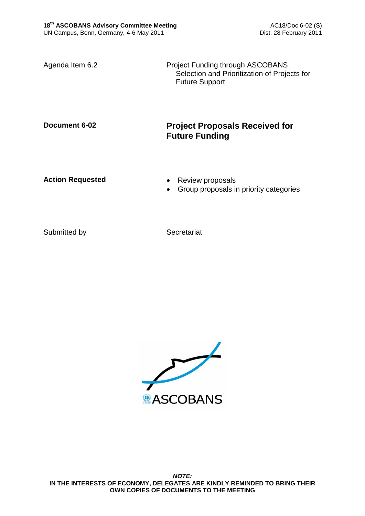Agenda Item 6.2 **Project Funding through ASCOBANS** Selection and Prioritization of Projects for Future Support

# **Document 6-02 Project Proposals Received for Future Funding**

- Action Requested **Calculated Review proposals** 
	- Group proposals in priority categories

Submitted by Secretariat

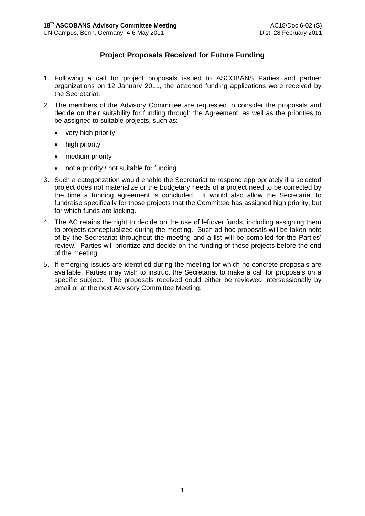# **Project Proposals Received for Future Funding**

- 1. Following a call for project proposals issued to ASCOBANS Parties and partner organizations on 12 January 2011, the attached funding applications were received by the Secretariat.
- 2. The members of the Advisory Committee are requested to consider the proposals and decide on their suitability for funding through the Agreement, as well as the priorities to be assigned to suitable projects, such as:
	- very high priority
	- high priority
	- medium priority
	- not a priority / not suitable for funding
- 3. Such a categorization would enable the Secretariat to respond appropriately if a selected project does not materialize or the budgetary needs of a project need to be corrected by the time a funding agreement is concluded. It would also allow the Secretariat to fundraise specifically for those projects that the Committee has assigned high priority, but for which funds are lacking.
- 4. The AC retains the right to decide on the use of leftover funds, including assigning them to projects conceptualized during the meeting. Such ad-hoc proposals will be taken note of by the Secretariat throughout the meeting and a list will be compiled for the Parties' review. Parties will prioritize and decide on the funding of these projects before the end of the meeting.
- 5. If emerging issues are identified during the meeting for which no concrete proposals are available, Parties may wish to instruct the Secretariat to make a call for proposals on a specific subject. The proposals received could either be reviewed intersessionally by email or at the next Advisory Committee Meeting.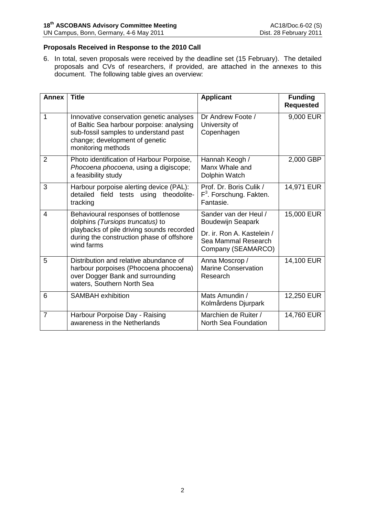## **Proposals Received in Response to the 2010 Call**

6. In total, seven proposals were received by the deadline set (15 February). The detailed proposals and CVs of researchers, if provided, are attached in the annexes to this document. The following table gives an overview:

| <b>Annex</b>   | <b>Title</b>                                                                                                                                                                           | <b>Applicant</b>                                                            | <b>Funding</b><br><b>Requested</b> |
|----------------|----------------------------------------------------------------------------------------------------------------------------------------------------------------------------------------|-----------------------------------------------------------------------------|------------------------------------|
| 1              | Innovative conservation genetic analyses<br>of Baltic Sea harbour porpoise: analysing<br>sub-fossil samples to understand past<br>change; development of genetic<br>monitoring methods | Dr Andrew Foote /<br>University of<br>Copenhagen                            | 9,000 EUR                          |
| $\overline{2}$ | Photo identification of Harbour Porpoise,<br>Phocoena phocoena, using a digiscope;<br>a feasibility study                                                                              | Hannah Keogh /<br>Manx Whale and<br>Dolphin Watch                           | 2,000 GBP                          |
| 3              | Harbour porpoise alerting device (PAL):<br>detailed<br>field tests using theodolite-<br>tracking                                                                                       | Prof. Dr. Boris Culik /<br>F <sup>3</sup> . Forschung. Fakten.<br>Fantasie. | 14,971 EUR                         |
| $\overline{4}$ | Behavioural responses of bottlenose<br>dolphins (Tursiops truncatus) to                                                                                                                | Sander van der Heul /<br><b>Boudewijn Seapark</b>                           | 15,000 EUR                         |
|                | playbacks of pile driving sounds recorded<br>during the construction phase of offshore<br>wind farms                                                                                   | Dr. ir. Ron A. Kastelein /<br>Sea Mammal Research<br>Company (SEAMARCO)     |                                    |
| 5              | Distribution and relative abundance of<br>harbour porpoises (Phocoena phocoena)<br>over Dogger Bank and surrounding<br>waters, Southern North Sea                                      | Anna Moscrop /<br><b>Marine Conservation</b><br>Research                    | 14,100 EUR                         |
| 6              | <b>SAMBAH</b> exhibition                                                                                                                                                               | Mats Amundin /<br>Kolmårdens Djurpark                                       | 12,250 EUR                         |
| $\overline{7}$ | Harbour Porpoise Day - Raising<br>awareness in the Netherlands                                                                                                                         | Marchien de Ruiter /<br>North Sea Foundation                                | 14,760 EUR                         |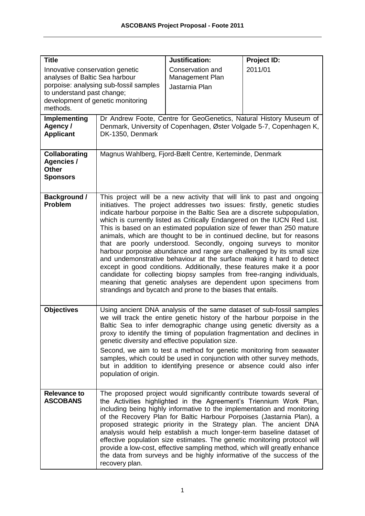| <b>Title</b>                                                                                                                                                                               |                                                                                                                                                                                                                                                                                                                                                                                                                                                                                                                                                                                                                                                                                                                                                                                                                                                                                                                                                                             | Justification:                                        | Project ID:                                                                                                                                                                                                                                                                                                                                                                                                                                                                                                                                                                                                                                                                      |
|--------------------------------------------------------------------------------------------------------------------------------------------------------------------------------------------|-----------------------------------------------------------------------------------------------------------------------------------------------------------------------------------------------------------------------------------------------------------------------------------------------------------------------------------------------------------------------------------------------------------------------------------------------------------------------------------------------------------------------------------------------------------------------------------------------------------------------------------------------------------------------------------------------------------------------------------------------------------------------------------------------------------------------------------------------------------------------------------------------------------------------------------------------------------------------------|-------------------------------------------------------|----------------------------------------------------------------------------------------------------------------------------------------------------------------------------------------------------------------------------------------------------------------------------------------------------------------------------------------------------------------------------------------------------------------------------------------------------------------------------------------------------------------------------------------------------------------------------------------------------------------------------------------------------------------------------------|
| Innovative conservation genetic<br>analyses of Baltic Sea harbour<br>porpoise: analysing sub-fossil samples<br>to understand past change;<br>development of genetic monitoring<br>methods. |                                                                                                                                                                                                                                                                                                                                                                                                                                                                                                                                                                                                                                                                                                                                                                                                                                                                                                                                                                             | Conservation and<br>Management Plan<br>Jastarnia Plan | 2011/01                                                                                                                                                                                                                                                                                                                                                                                                                                                                                                                                                                                                                                                                          |
| Implementing<br>Agency /<br><b>Applicant</b>                                                                                                                                               | Dr Andrew Foote, Centre for GeoGenetics, Natural History Museum of<br>Denmark, University of Copenhagen, Øster Volgade 5-7, Copenhagen K,<br>DK-1350, Denmark                                                                                                                                                                                                                                                                                                                                                                                                                                                                                                                                                                                                                                                                                                                                                                                                               |                                                       |                                                                                                                                                                                                                                                                                                                                                                                                                                                                                                                                                                                                                                                                                  |
| <b>Collaborating</b><br><b>Agencies /</b><br><b>Other</b><br><b>Sponsors</b>                                                                                                               | Magnus Wahlberg, Fjord-Bælt Centre, Kerteminde, Denmark                                                                                                                                                                                                                                                                                                                                                                                                                                                                                                                                                                                                                                                                                                                                                                                                                                                                                                                     |                                                       |                                                                                                                                                                                                                                                                                                                                                                                                                                                                                                                                                                                                                                                                                  |
| <b>Background /</b><br><b>Problem</b>                                                                                                                                                      | This project will be a new activity that will link to past and ongoing<br>initiatives. The project addresses two issues: firstly, genetic studies<br>indicate harbour porpoise in the Baltic Sea are a discrete subpopulation,<br>which is currently listed as Critically Endangered on the IUCN Red List.<br>This is based on an estimated population size of fewer than 250 mature<br>animals, which are thought to be in continued decline, but for reasons<br>that are poorly understood. Secondly, ongoing surveys to monitor<br>harbour porpoise abundance and range are challenged by its small size<br>and undemonstrative behaviour at the surface making it hard to detect<br>except in good conditions. Additionally, these features make it a poor<br>candidate for collecting biopsy samples from free-ranging individuals,<br>meaning that genetic analyses are dependent upon specimens from<br>strandings and bycatch and prone to the biases that entails. |                                                       |                                                                                                                                                                                                                                                                                                                                                                                                                                                                                                                                                                                                                                                                                  |
| <b>Objectives</b>                                                                                                                                                                          | population of origin.                                                                                                                                                                                                                                                                                                                                                                                                                                                                                                                                                                                                                                                                                                                                                                                                                                                                                                                                                       | genetic diversity and effective population size.      | Using ancient DNA analysis of the same dataset of sub-fossil samples<br>we will track the entire genetic history of the harbour porpoise in the<br>Baltic Sea to infer demographic change using genetic diversity as a<br>proxy to identify the timing of population fragmentation and declines in<br>Second, we aim to test a method for genetic monitoring from seawater<br>samples, which could be used in conjunction with other survey methods,<br>but in addition to identifying presence or absence could also infer                                                                                                                                                      |
| <b>Relevance to</b><br><b>ASCOBANS</b>                                                                                                                                                     | recovery plan.                                                                                                                                                                                                                                                                                                                                                                                                                                                                                                                                                                                                                                                                                                                                                                                                                                                                                                                                                              |                                                       | The proposed project would significantly contribute towards several of<br>the Activities highlighted in the Agreement's Triennium Work Plan,<br>including being highly informative to the implementation and monitoring<br>of the Recovery Plan for Baltic Harbour Porpoises (Jastarnia Plan), a<br>proposed strategic priority in the Strategy plan. The ancient DNA<br>analysis would help establish a much longer-term baseline dataset of<br>effective population size estimates. The genetic monitoring protocol will<br>provide a low-cost, effective sampling method, which will greatly enhance<br>the data from surveys and be highly informative of the success of the |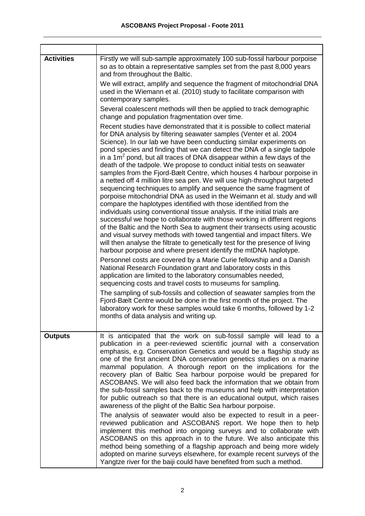| <b>Activities</b> | Firstly we will sub-sample approximately 100 sub-fossil harbour porpoise<br>so as to obtain a representative samples set from the past 8,000 years<br>and from throughout the Baltic.<br>We will extract, amplify and sequence the fragment of mitochondrial DNA<br>used in the Wiemann et al. (2010) study to facilitate comparison with<br>contemporary samples.<br>Several coalescent methods will then be applied to track demographic<br>change and population fragmentation over time.<br>Recent studies have demonstrated that it is possible to collect material<br>for DNA analysis by filtering seawater samples (Venter et al. 2004)<br>Science). In our lab we have been conducting similar experiments on<br>pond species and finding that we can detect the DNA of a single tadpole<br>in a $1m2$ pond, but all traces of DNA disappear within a few days of the<br>death of the tadpole. We propose to conduct initial tests on seawater<br>samples from the Fjord-Bælt Centre, which houses 4 harbour porpoise in<br>a netted off 4 million litre sea pen. We will use high-throughput targeted<br>sequencing techniques to amplify and sequence the same fragment of<br>porpoise mitochondrial DNA as used in the Weimann et al. study and will<br>compare the haplotypes identified with those identified from the<br>individuals using conventional tissue analysis. If the initial trials are<br>successful we hope to collaborate with those working in different regions<br>of the Baltic and the North Sea to augment their transects using acoustic<br>and visual survey methods with towed tangential and impact filters. We<br>will then analyse the filtrate to genetically test for the presence of living<br>harbour porpoise and where present identify the mtDNA haplotype.<br>Personnel costs are covered by a Marie Curie fellowship and a Danish<br>National Research Foundation grant and laboratory costs in this<br>application are limited to the laboratory consumables needed,<br>sequencing costs and travel costs to museums for sampling.<br>The sampling of sub-fossils and collection of seawater samples from the<br>Fjord-Bælt Centre would be done in the first month of the project. The<br>laboratory work for these samples would take 6 months, followed by 1-2<br>months of data analysis and writing up. |
|-------------------|----------------------------------------------------------------------------------------------------------------------------------------------------------------------------------------------------------------------------------------------------------------------------------------------------------------------------------------------------------------------------------------------------------------------------------------------------------------------------------------------------------------------------------------------------------------------------------------------------------------------------------------------------------------------------------------------------------------------------------------------------------------------------------------------------------------------------------------------------------------------------------------------------------------------------------------------------------------------------------------------------------------------------------------------------------------------------------------------------------------------------------------------------------------------------------------------------------------------------------------------------------------------------------------------------------------------------------------------------------------------------------------------------------------------------------------------------------------------------------------------------------------------------------------------------------------------------------------------------------------------------------------------------------------------------------------------------------------------------------------------------------------------------------------------------------------------------------------------------------------------------------------------------------------------------------------------------------------------------------------------------------------------------------------------------------------------------------------------------------------------------------------------------------------------------------------------------------------------------------------------------------------------------------------------------------------------------------------------------------------|
| <b>Outputs</b>    | It is anticipated that the work on sub-fossil sample will lead to a<br>publication in a peer-reviewed scientific journal with a conservation<br>emphasis, e.g. Conservation Genetics and would be a flagship study as<br>one of the first ancient DNA conservation genetics studies on a marine<br>mammal population. A thorough report on the implications for the<br>recovery plan of Baltic Sea harbour porpoise would be prepared for<br>ASCOBANS. We will also feed back the information that we obtain from<br>the sub-fossil samples back to the museums and help with interpretation<br>for public outreach so that there is an educational output, which raises<br>awareness of the plight of the Baltic Sea harbour porpoise.<br>The analysis of seawater would also be expected to result in a peer-<br>reviewed publication and ASCOBANS report. We hope then to help<br>implement this method into ongoing surveys and to collaborate with<br>ASCOBANS on this approach in to the future. We also anticipate this<br>method being something of a flagship approach and being more widely<br>adopted on marine surveys elsewhere, for example recent surveys of the<br>Yangtze river for the baiji could have benefited from such a method.                                                                                                                                                                                                                                                                                                                                                                                                                                                                                                                                                                                                                                                                                                                                                                                                                                                                                                                                                                                                                                                                                                        |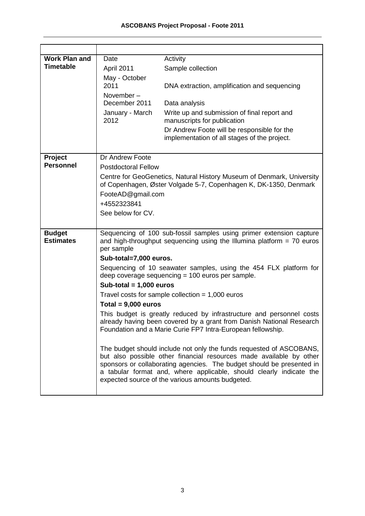| <b>Work Plan and</b> | Date                                                                                  | Activity                                                                                                                                                                                                                                                                                                                                       |  |
|----------------------|---------------------------------------------------------------------------------------|------------------------------------------------------------------------------------------------------------------------------------------------------------------------------------------------------------------------------------------------------------------------------------------------------------------------------------------------|--|
| <b>Timetable</b>     | April 2011                                                                            | Sample collection                                                                                                                                                                                                                                                                                                                              |  |
|                      | May - October                                                                         |                                                                                                                                                                                                                                                                                                                                                |  |
|                      | 2011                                                                                  | DNA extraction, amplification and sequencing                                                                                                                                                                                                                                                                                                   |  |
|                      | November-                                                                             |                                                                                                                                                                                                                                                                                                                                                |  |
|                      | December 2011                                                                         | Data analysis                                                                                                                                                                                                                                                                                                                                  |  |
|                      | January - March                                                                       | Write up and submission of final report and                                                                                                                                                                                                                                                                                                    |  |
|                      | 2012                                                                                  | manuscripts for publication                                                                                                                                                                                                                                                                                                                    |  |
|                      |                                                                                       | Dr Andrew Foote will be responsible for the                                                                                                                                                                                                                                                                                                    |  |
|                      |                                                                                       | implementation of all stages of the project.                                                                                                                                                                                                                                                                                                   |  |
| Project              | Dr Andrew Foote                                                                       |                                                                                                                                                                                                                                                                                                                                                |  |
| <b>Personnel</b>     | <b>Postdoctoral Fellow</b>                                                            |                                                                                                                                                                                                                                                                                                                                                |  |
|                      |                                                                                       | Centre for GeoGenetics, Natural History Museum of Denmark, University                                                                                                                                                                                                                                                                          |  |
|                      |                                                                                       | of Copenhagen, Øster Volgade 5-7, Copenhagen K, DK-1350, Denmark                                                                                                                                                                                                                                                                               |  |
|                      | FooteAD@gmail.com                                                                     |                                                                                                                                                                                                                                                                                                                                                |  |
|                      | +4552323841                                                                           |                                                                                                                                                                                                                                                                                                                                                |  |
|                      | See below for CV.                                                                     |                                                                                                                                                                                                                                                                                                                                                |  |
|                      |                                                                                       |                                                                                                                                                                                                                                                                                                                                                |  |
| <b>Budget</b>        |                                                                                       | Sequencing of 100 sub-fossil samples using primer extension capture                                                                                                                                                                                                                                                                            |  |
| <b>Estimates</b>     | and high-throughput sequencing using the Illumina platform $= 70$ euros<br>per sample |                                                                                                                                                                                                                                                                                                                                                |  |
|                      | Sub-total=7,000 euros.                                                                |                                                                                                                                                                                                                                                                                                                                                |  |
|                      | Sequencing of 10 seawater samples, using the 454 FLX platform for                     |                                                                                                                                                                                                                                                                                                                                                |  |
|                      |                                                                                       | deep coverage sequencing = 100 euros per sample.                                                                                                                                                                                                                                                                                               |  |
|                      | Sub-total = $1,000$ euros                                                             |                                                                                                                                                                                                                                                                                                                                                |  |
|                      |                                                                                       | Travel costs for sample collection = $1,000$ euros                                                                                                                                                                                                                                                                                             |  |
|                      | Total = $9,000$ euros                                                                 |                                                                                                                                                                                                                                                                                                                                                |  |
|                      |                                                                                       | This budget is greatly reduced by infrastructure and personnel costs<br>already having been covered by a grant from Danish National Research<br>Foundation and a Marie Curie FP7 Intra-European fellowship.                                                                                                                                    |  |
|                      |                                                                                       | The budget should include not only the funds requested of ASCOBANS,<br>but also possible other financial resources made available by other<br>sponsors or collaborating agencies. The budget should be presented in<br>a tabular format and, where applicable, should clearly indicate the<br>expected source of the various amounts budgeted. |  |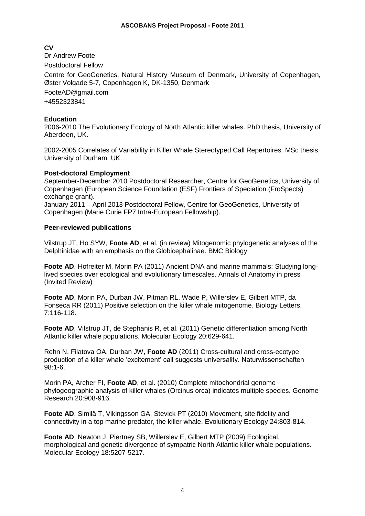# **CV**

Dr Andrew Foote

Postdoctoral Fellow

Centre for GeoGenetics, Natural History Museum of Denmark, University of Copenhagen, Øster Volgade 5-7, Copenhagen K, DK-1350, Denmark

[FooteAD@gmail.com](mailto:FooteAD@gmail.com)

+4552323841

## **Education**

2006-2010 The Evolutionary Ecology of North Atlantic killer whales. PhD thesis, University of Aberdeen, UK.

2002-2005 Correlates of Variability in Killer Whale Stereotyped Call Repertoires. MSc thesis, University of Durham, UK.

## **Post-doctoral Employment**

September-December 2010 Postdoctoral Researcher, Centre for GeoGenetics, University of Copenhagen (European Science Foundation (ESF) Frontiers of Speciation (FroSpects) exchange grant).

January 2011 – April 2013 Postdoctoral Fellow, Centre for GeoGenetics, University of Copenhagen (Marie Curie FP7 Intra-European Fellowship).

## **Peer-reviewed publications**

Vilstrup JT, Ho SYW, **Foote AD**, et al. (in review) Mitogenomic phylogenetic analyses of the Delphinidae with an emphasis on the Globicephalinae. BMC Biology

**Foote AD**, Hofreiter M, Morin PA (2011) Ancient DNA and marine mammals: Studying longlived species over ecological and evolutionary timescales. Annals of Anatomy in press (Invited Review)

**Foote AD**, Morin PA, Durban JW, Pitman RL, Wade P, Willerslev E, Gilbert MTP, da Fonseca RR (2011) Positive selection on the killer whale mitogenome. Biology Letters, 7:116-118.

**Foote AD**, Vilstrup JT, de Stephanis R, et al. (2011) Genetic differentiation among North Atlantic killer whale populations. Molecular Ecology 20:629-641.

Rehn N, Filatova OA, Durban JW, **Foote AD** (2011) Cross-cultural and cross-ecotype production of a killer whale 'excitement' call suggests universality. Naturwissenschaften 98:1-6.

Morin PA, Archer FI, **Foote AD**, et al. (2010) Complete mitochondrial genome phylogeographic analysis of killer whales (Orcinus orca) indicates multiple species. Genome Research 20:908-916.

**Foote AD**, Similä T, Vikingsson GA, Stevick PT (2010) Movement, site fidelity and connectivity in a top marine predator, the killer whale. Evolutionary Ecology 24:803-814.

**Foote AD**, Newton J, Piertney SB, Willerslev E, Gilbert MTP (2009) Ecological, morphological and genetic divergence of sympatric North Atlantic killer whale populations. Molecular Ecology 18:5207-5217.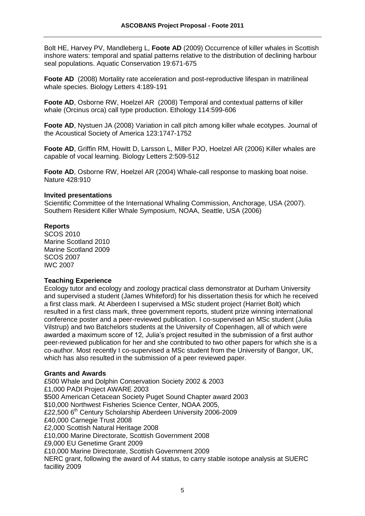Bolt HE, Harvey PV, Mandleberg L, **Foote AD** (2009) Occurrence of killer whales in Scottish inshore waters: temporal and spatial patterns relative to the distribution of declining harbour seal populations. Aquatic Conservation 19:671-675

**Foote AD** (2008) Mortality rate acceleration and post-reproductive lifespan in matrilineal whale species. Biology Letters 4:189-191

**Foote AD**, Osborne RW, Hoelzel AR (2008) Temporal and contextual patterns of killer whale (Orcinus orca) call type production. Ethology 114:599-606

**Foote AD**, Nystuen JA (2008) Variation in call pitch among killer whale ecotypes. Journal of the Acoustical Society of America 123:1747-1752

**Foote AD**, Griffin RM, Howitt D, Larsson L, Miller PJO, Hoelzel AR (2006) Killer whales are capable of vocal learning. Biology Letters 2:509-512

**Foote AD**, Osborne RW, Hoelzel AR (2004) Whale-call response to masking boat noise. Nature 428:910

#### **Invited presentations**

Scientific Committee of the International Whaling Commission, Anchorage, USA (2007). Southern Resident Killer Whale Symposium, NOAA, Seattle, USA (2006)

## **Reports**

SCOS 2010 Marine Scotland 2010 Marine Scotland 2009 SCOS 2007 IWC 2007

## **Teaching Experience**

Ecology tutor and ecology and zoology practical class demonstrator at Durham University and supervised a student (James Whiteford) for his dissertation thesis for which he received a first class mark. At Aberdeen I supervised a MSc student project (Harriet Bolt) which resulted in a first class mark, three government reports, student prize winning international conference poster and a peer-reviewed publication. I co-supervised an MSc student (Julia Vilstrup) and two Batchelors students at the University of Copenhagen, all of which were awarded a maximum score of 12, Julia's project resulted in the submission of a first author peer-reviewed publication for her and she contributed to two other papers for which she is a co-author. Most recently I co-supervised a MSc student from the University of Bangor, UK, which has also resulted in the submission of a peer reviewed paper.

#### **Grants and Awards**

£500 Whale and Dolphin Conservation Society 2002 & 2003 £1,000 PADI Project AWARE 2003 \$500 American Cetacean Society Puget Sound Chapter award 2003 \$10,000 Northwest Fisheries Science Center, NOAA 2005, £22,500 6<sup>th</sup> Century Scholarship Aberdeen University 2006-2009 £40,000 Carnegie Trust 2008 £2,000 Scottish Natural Heritage 2008 £10,000 Marine Directorate, Scottish Government 2008 £9,000 EU Genetime Grant 2009 £10,000 Marine Directorate, Scottish Government 2009 NERC grant, following the award of A4 status, to carry stable isotope analysis at SUERC facillity 2009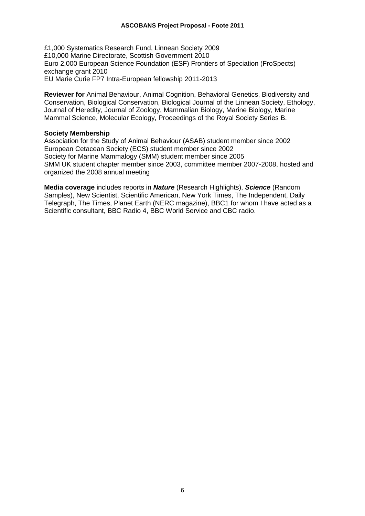£1,000 Systematics Research Fund, Linnean Society 2009 £10,000 Marine Directorate, Scottish Government 2010 Euro 2,000 European Science Foundation (ESF) Frontiers of Speciation (FroSpects) exchange grant 2010 EU Marie Curie FP7 Intra-European fellowship 2011-2013

**Reviewer for** Animal Behaviour, Animal Cognition, Behavioral Genetics, Biodiversity and Conservation, Biological Conservation, Biological Journal of the Linnean Society, Ethology, Journal of Heredity, Journal of Zoology, Mammalian Biology, Marine Biology, Marine Mammal Science, Molecular Ecology, Proceedings of the Royal Society Series B.

#### **Society Membership**

Association for the Study of Animal Behaviour (ASAB) student member since 2002 European Cetacean Society (ECS) student member since 2002 Society for Marine Mammalogy (SMM) student member since 2005 SMM UK student chapter member since 2003, committee member 2007-2008, hosted and organized the 2008 annual meeting

**Media coverage** includes reports in *Nature* (Research Highlights), *Science* (Random Samples), New Scientist, Scientific American, New York Times, The Independent, Daily Telegraph, The Times, Planet Earth (NERC magazine), BBC1 for whom I have acted as a Scientific consultant, BBC Radio 4, BBC World Service and CBC radio.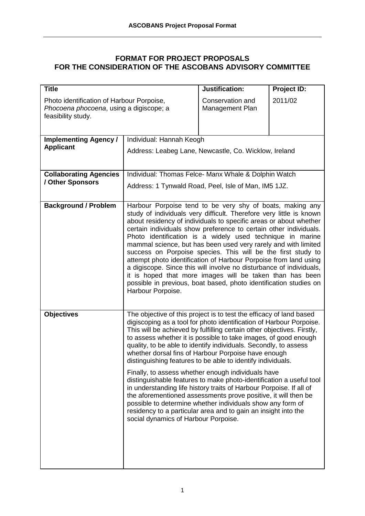# **FORMAT FOR PROJECT PROPOSALS FOR THE CONSIDERATION OF THE ASCOBANS ADVISORY COMMITTEE**

| <b>Title</b>                                                                                               |                                                                                                                                                                                                                                                                                                                                                                                                                                                                                                                                                                                                                                                                                                                                                                                                                                                                                                                                 | <b>Justification:</b>               | Project ID: |
|------------------------------------------------------------------------------------------------------------|---------------------------------------------------------------------------------------------------------------------------------------------------------------------------------------------------------------------------------------------------------------------------------------------------------------------------------------------------------------------------------------------------------------------------------------------------------------------------------------------------------------------------------------------------------------------------------------------------------------------------------------------------------------------------------------------------------------------------------------------------------------------------------------------------------------------------------------------------------------------------------------------------------------------------------|-------------------------------------|-------------|
| Photo identification of Harbour Porpoise,<br>Phocoena phocoena, using a digiscope; a<br>feasibility study. |                                                                                                                                                                                                                                                                                                                                                                                                                                                                                                                                                                                                                                                                                                                                                                                                                                                                                                                                 | Conservation and<br>Management Plan | 2011/02     |
| <b>Implementing Agency /</b>                                                                               | Individual: Hannah Keogh                                                                                                                                                                                                                                                                                                                                                                                                                                                                                                                                                                                                                                                                                                                                                                                                                                                                                                        |                                     |             |
| <b>Applicant</b>                                                                                           | Address: Leabeg Lane, Newcastle, Co. Wicklow, Ireland                                                                                                                                                                                                                                                                                                                                                                                                                                                                                                                                                                                                                                                                                                                                                                                                                                                                           |                                     |             |
| <b>Collaborating Agencies</b>                                                                              | Individual: Thomas Felce- Manx Whale & Dolphin Watch                                                                                                                                                                                                                                                                                                                                                                                                                                                                                                                                                                                                                                                                                                                                                                                                                                                                            |                                     |             |
| / Other Sponsors                                                                                           | Address: 1 Tynwald Road, Peel, Isle of Man, IM5 1JZ.                                                                                                                                                                                                                                                                                                                                                                                                                                                                                                                                                                                                                                                                                                                                                                                                                                                                            |                                     |             |
| <b>Background / Problem</b>                                                                                | Harbour Porpoise tend to be very shy of boats, making any<br>study of individuals very difficult. Therefore very little is known<br>about residency of individuals to specific areas or about whether<br>certain individuals show preference to certain other individuals.<br>Photo identification is a widely used technique in marine<br>mammal science, but has been used very rarely and with limited<br>success on Porpoise species. This will be the first study to<br>attempt photo identification of Harbour Porpoise from land using<br>a digiscope. Since this will involve no disturbance of individuals,<br>it is hoped that more images will be taken than has been<br>possible in previous, boat based, photo identification studies on<br>Harbour Porpoise.                                                                                                                                                      |                                     |             |
| <b>Objectives</b>                                                                                          | The objective of this project is to test the efficacy of land based<br>digiscoping as a tool for photo identification of Harbour Porpoise.<br>This will be achieved by fulfilling certain other objectives. Firstly,<br>to assess whether it is possible to take images, of good enough<br>quality, to be able to identify individuals. Secondly, to assess<br>whether dorsal fins of Harbour Porpoise have enough<br>distinguishing features to be able to identify individuals.<br>Finally, to assess whether enough individuals have<br>distinguishable features to make photo-identification a useful tool<br>in understanding life history traits of Harbour Porpoise. If all of<br>the aforementioned assessments prove positive, it will then be<br>possible to determine whether individuals show any form of<br>residency to a particular area and to gain an insight into the<br>social dynamics of Harbour Porpoise. |                                     |             |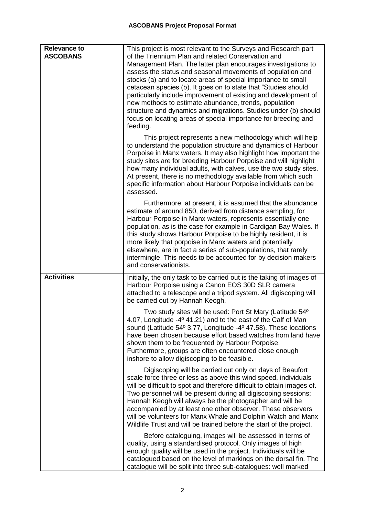| <b>Relevance to</b><br><b>ASCOBANS</b> | This project is most relevant to the Surveys and Research part<br>of the Triennium Plan and related Conservation and<br>Management Plan. The latter plan encourages investigations to<br>assess the status and seasonal movements of population and<br>stocks (a) and to locate areas of special importance to small<br>cetacean species (b). It goes on to state that "Studies should<br>particularly include improvement of existing and development of<br>new methods to estimate abundance, trends, population<br>structure and dynamics and migrations. Studies under (b) should<br>focus on locating areas of special importance for breeding and<br>feeding. |
|----------------------------------------|---------------------------------------------------------------------------------------------------------------------------------------------------------------------------------------------------------------------------------------------------------------------------------------------------------------------------------------------------------------------------------------------------------------------------------------------------------------------------------------------------------------------------------------------------------------------------------------------------------------------------------------------------------------------|
|                                        | This project represents a new methodology which will help<br>to understand the population structure and dynamics of Harbour<br>Porpoise in Manx waters. It may also highlight how important the<br>study sites are for breeding Harbour Porpoise and will highlight<br>how many individual adults, with calves, use the two study sites.<br>At present, there is no methodology available from which such<br>specific information about Harbour Porpoise individuals can be<br>assessed.                                                                                                                                                                            |
|                                        | Furthermore, at present, it is assumed that the abundance<br>estimate of around 850, derived from distance sampling, for<br>Harbour Porpoise in Manx waters, represents essentially one<br>population, as is the case for example in Cardigan Bay Wales. If<br>this study shows Harbour Porpoise to be highly resident, it is<br>more likely that porpoise in Manx waters and potentially<br>elsewhere, are in fact a series of sub-populations, that rarely<br>intermingle. This needs to be accounted for by decision makers<br>and conservationists.                                                                                                             |
| <b>Activities</b>                      | Initially, the only task to be carried out is the taking of images of<br>Harbour Porpoise using a Canon EOS 30D SLR camera<br>attached to a telescope and a tripod system. All digiscoping will<br>be carried out by Hannah Keogh.                                                                                                                                                                                                                                                                                                                                                                                                                                  |
|                                        | Two study sites will be used: Port St Mary (Latitude 54°<br>4.07, Longitude -4º 41.21) and to the east of the Calf of Man<br>sound (Latitude 54° 3.77, Longitude -4° 47.58). These locations<br>have been chosen because effort based watches from land have<br>shown them to be frequented by Harbour Porpoise.<br>Furthermore, groups are often encountered close enough<br>inshore to allow digiscoping to be feasible.                                                                                                                                                                                                                                          |
|                                        | Digiscoping will be carried out only on days of Beaufort<br>scale force three or less as above this wind speed, individuals<br>will be difficult to spot and therefore difficult to obtain images of.<br>Two personnel will be present during all digiscoping sessions;<br>Hannah Keogh will always be the photographer and will be<br>accompanied by at least one other observer. These observers<br>will be volunteers for Manx Whale and Dolphin Watch and Manx<br>Wildlife Trust and will be trained before the start of the project.                                                                                                                           |
|                                        | Before cataloguing, images will be assessed in terms of<br>quality, using a standardised protocol. Only images of high<br>enough quality will be used in the project. Individuals will be<br>catalogued based on the level of markings on the dorsal fin. The<br>catalogue will be split into three sub-catalogues: well marked                                                                                                                                                                                                                                                                                                                                     |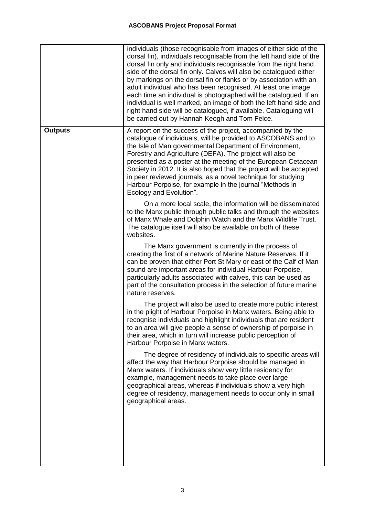|                | individuals (those recognisable from images of either side of the<br>dorsal fin), individuals recognisable from the left hand side of the<br>dorsal fin only and individuals recognisable from the right hand<br>side of the dorsal fin only. Calves will also be catalogued either<br>by markings on the dorsal fin or flanks or by association with an<br>adult individual who has been recognised. At least one image<br>each time an individual is photographed will be catalogued. If an<br>individual is well marked, an image of both the left hand side and<br>right hand side will be catalogued, if available. Cataloguing will<br>be carried out by Hannah Keogh and Tom Felce. |
|----------------|--------------------------------------------------------------------------------------------------------------------------------------------------------------------------------------------------------------------------------------------------------------------------------------------------------------------------------------------------------------------------------------------------------------------------------------------------------------------------------------------------------------------------------------------------------------------------------------------------------------------------------------------------------------------------------------------|
| <b>Outputs</b> | A report on the success of the project, accompanied by the<br>catalogue of individuals, will be provided to ASCOBANS and to<br>the Isle of Man governmental Department of Environment,<br>Forestry and Agriculture (DEFA). The project will also be<br>presented as a poster at the meeting of the European Cetacean<br>Society in 2012. It is also hoped that the project will be accepted<br>in peer reviewed journals, as a novel technique for studying<br>Harbour Porpoise, for example in the journal "Methods in<br>Ecology and Evolution".                                                                                                                                         |
|                | On a more local scale, the information will be disseminated<br>to the Manx public through public talks and through the websites<br>of Manx Whale and Dolphin Watch and the Manx Wildlife Trust.<br>The catalogue itself will also be available on both of these<br>websites.                                                                                                                                                                                                                                                                                                                                                                                                               |
|                | The Manx government is currently in the process of<br>creating the first of a network of Marine Nature Reserves. If it<br>can be proven that either Port St Mary or east of the Calf of Man<br>sound are important areas for individual Harbour Porpoise,<br>particularly adults associated with calves, this can be used as<br>part of the consultation process in the selection of future marine<br>nature reserves.                                                                                                                                                                                                                                                                     |
|                | The project will also be used to create more public interest<br>in the plight of Harbour Porpoise in Manx waters. Being able to<br>recognise individuals and highlight individuals that are resident<br>to an area will give people a sense of ownership of porpoise in<br>their area, which in turn will increase public perception of<br>Harbour Porpoise in Manx waters.                                                                                                                                                                                                                                                                                                                |
|                | The degree of residency of individuals to specific areas will<br>affect the way that Harbour Porpoise should be managed in<br>Manx waters. If individuals show very little residency for<br>example, management needs to take place over large<br>geographical areas, whereas if individuals show a very high<br>degree of residency, management needs to occur only in small<br>geographical areas.                                                                                                                                                                                                                                                                                       |
|                |                                                                                                                                                                                                                                                                                                                                                                                                                                                                                                                                                                                                                                                                                            |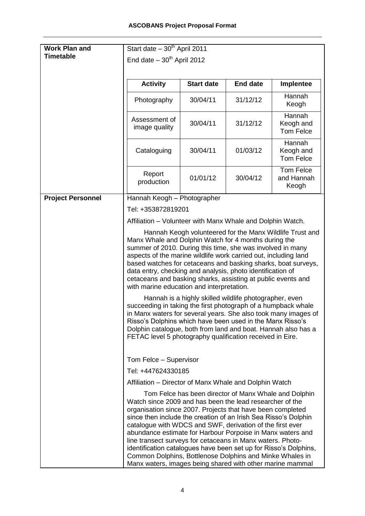| <b>Work Plan and</b>     | Start date $-30th$ April 2011                                                                                                                                                                                                                                                                                                                                                                                                                                                                                                                                                   |                                                       |                 |                                                          |  |
|--------------------------|---------------------------------------------------------------------------------------------------------------------------------------------------------------------------------------------------------------------------------------------------------------------------------------------------------------------------------------------------------------------------------------------------------------------------------------------------------------------------------------------------------------------------------------------------------------------------------|-------------------------------------------------------|-----------------|----------------------------------------------------------|--|
| <b>Timetable</b>         | End date $-30th$ April 2012                                                                                                                                                                                                                                                                                                                                                                                                                                                                                                                                                     |                                                       |                 |                                                          |  |
|                          |                                                                                                                                                                                                                                                                                                                                                                                                                                                                                                                                                                                 |                                                       |                 |                                                          |  |
|                          | <b>Activity</b>                                                                                                                                                                                                                                                                                                                                                                                                                                                                                                                                                                 | <b>Start date</b>                                     | <b>End date</b> | Implentee                                                |  |
|                          | Photography                                                                                                                                                                                                                                                                                                                                                                                                                                                                                                                                                                     | 30/04/11                                              | 31/12/12        | Hannah<br>Keogh                                          |  |
|                          | Assessment of<br>image quality                                                                                                                                                                                                                                                                                                                                                                                                                                                                                                                                                  | 30/04/11                                              | 31/12/12        | Hannah<br>Keogh and<br><b>Tom Felce</b>                  |  |
|                          | Cataloguing                                                                                                                                                                                                                                                                                                                                                                                                                                                                                                                                                                     | 30/04/11                                              | 01/03/12        | Hannah<br>Keogh and<br><b>Tom Felce</b>                  |  |
|                          | Report<br>production                                                                                                                                                                                                                                                                                                                                                                                                                                                                                                                                                            | 01/01/12                                              | 30/04/12        | Tom Felce<br>and Hannah<br>Keogh                         |  |
| <b>Project Personnel</b> | Hannah Keogh - Photographer                                                                                                                                                                                                                                                                                                                                                                                                                                                                                                                                                     |                                                       |                 |                                                          |  |
|                          | Tel: +353872819201                                                                                                                                                                                                                                                                                                                                                                                                                                                                                                                                                              |                                                       |                 |                                                          |  |
|                          | Affiliation – Volunteer with Manx Whale and Dolphin Watch.                                                                                                                                                                                                                                                                                                                                                                                                                                                                                                                      |                                                       |                 |                                                          |  |
|                          |                                                                                                                                                                                                                                                                                                                                                                                                                                                                                                                                                                                 |                                                       |                 | Hannah Keogh volunteered for the Manx Wildlife Trust and |  |
|                          | Manx Whale and Dolphin Watch for 4 months during the<br>summer of 2010. During this time, she was involved in many<br>aspects of the marine wildlife work carried out, including land<br>based watches for cetaceans and basking sharks, boat surveys,<br>data entry, checking and analysis, photo identification of<br>cetaceans and basking sharks, assisting at public events and<br>with marine education and interpretation.                                                                                                                                               |                                                       |                 |                                                          |  |
|                          | Hannah is a highly skilled wildlife photographer, even<br>succeeding in taking the first photograph of a humpback whale<br>in Manx waters for several years. She also took many images of<br>Risso's Dolphins which have been used in the Manx Risso's<br>Dolphin catalogue, both from land and boat. Hannah also has a<br>FETAC level 5 photography qualification received in Eire.                                                                                                                                                                                            |                                                       |                 |                                                          |  |
|                          | Tom Felce - Supervisor                                                                                                                                                                                                                                                                                                                                                                                                                                                                                                                                                          |                                                       |                 |                                                          |  |
|                          | Tel: +447624330185                                                                                                                                                                                                                                                                                                                                                                                                                                                                                                                                                              |                                                       |                 |                                                          |  |
|                          | Affiliation – Director of Manx Whale and Dolphin Watch                                                                                                                                                                                                                                                                                                                                                                                                                                                                                                                          |                                                       |                 |                                                          |  |
|                          | Watch since 2009 and has been the lead researcher of the<br>organisation since 2007. Projects that have been completed<br>since then include the creation of an Irish Sea Risso's Dolphin<br>catalogue with WDCS and SWF, derivation of the first ever<br>abundance estimate for Harbour Porpoise in Manx waters and<br>line transect surveys for cetaceans in Manx waters. Photo-<br>identification catalogues have been set up for Risso's Dolphins,<br>Common Dolphins, Bottlenose Dolphins and Minke Whales in<br>Manx waters, images being shared with other marine mammal | Tom Felce has been director of Manx Whale and Dolphin |                 |                                                          |  |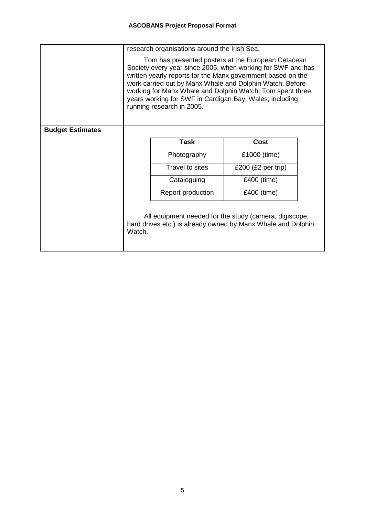|                         | research organisations around the Irish Sea.                                                                                                                                                                                                                                                                                                                                                      |                 |                                                                                                                        |  |
|-------------------------|---------------------------------------------------------------------------------------------------------------------------------------------------------------------------------------------------------------------------------------------------------------------------------------------------------------------------------------------------------------------------------------------------|-----------------|------------------------------------------------------------------------------------------------------------------------|--|
|                         | Tom has presented posters at the European Cetacean<br>Society every year since 2005, when working for SWF and has<br>written yearly reports for the Manx government based on the<br>work carried out by Manx Whale and Dolphin Watch. Before<br>working for Manx Whale and Dolphin Watch, Tom spent three<br>years working for SWF in Cardigan Bay, Wales, including<br>running research in 2005. |                 |                                                                                                                        |  |
| <b>Budget Estimates</b> |                                                                                                                                                                                                                                                                                                                                                                                                   |                 |                                                                                                                        |  |
|                         |                                                                                                                                                                                                                                                                                                                                                                                                   | <b>Task</b>     | <b>Cost</b>                                                                                                            |  |
|                         |                                                                                                                                                                                                                                                                                                                                                                                                   | Photography     | £1000 (time)                                                                                                           |  |
|                         |                                                                                                                                                                                                                                                                                                                                                                                                   | Travel to sites | £200 $(E2$ per trip)                                                                                                   |  |
|                         |                                                                                                                                                                                                                                                                                                                                                                                                   | Cataloguing     | £400 (time)                                                                                                            |  |
|                         | £400 (time)<br>Report production                                                                                                                                                                                                                                                                                                                                                                  |                 |                                                                                                                        |  |
|                         | Watch.                                                                                                                                                                                                                                                                                                                                                                                            |                 | All equipment needed for the study (camera, digiscope,<br>hard drives etc.) is already owned by Manx Whale and Dolphin |  |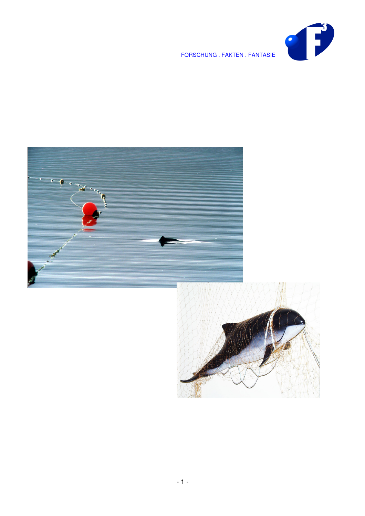



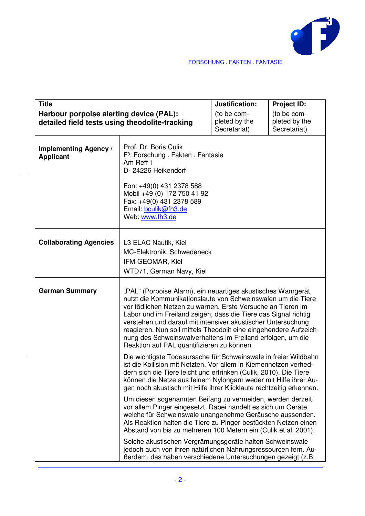

| <b>Title</b>                                     |                                                                                                                                                                                                                                                                                                                                                                                                                                                                                                                   | Justification: | <b>Project ID:</b> |
|--------------------------------------------------|-------------------------------------------------------------------------------------------------------------------------------------------------------------------------------------------------------------------------------------------------------------------------------------------------------------------------------------------------------------------------------------------------------------------------------------------------------------------------------------------------------------------|----------------|--------------------|
|                                                  | Harbour porpoise alerting device (PAL):<br>detailed field tests using theodolite-tracking                                                                                                                                                                                                                                                                                                                                                                                                                         |                |                    |
| <b>Implementing Agency /</b><br><b>Applicant</b> | Prof. Dr. Boris Culik<br>F <sup>3</sup> : Forschung . Fakten . Fantasie<br>Am Reff 1<br>D- 24226 Heikendorf                                                                                                                                                                                                                                                                                                                                                                                                       |                |                    |
|                                                  | Fon: +49(0) 431 2378 588<br>Mobil +49 (0) 172 750 41 92<br>Fax: +49(0) 431 2378 589<br>Email: bculik@fh3.de<br>Web: www.fh3.de                                                                                                                                                                                                                                                                                                                                                                                    |                |                    |
| <b>Collaborating Agencies</b>                    | L3 ELAC Nautik, Kiel<br>MC-Elektronik, Schwedeneck<br>IFM-GEOMAR, Kiel<br>WTD71, German Navy, Kiel                                                                                                                                                                                                                                                                                                                                                                                                                |                |                    |
| <b>German Summary</b>                            | "PAL" (Porpoise Alarm), ein neuartiges akustisches Warngerät,<br>nutzt die Kommunikationslaute von Schweinswalen um die Tiere<br>vor tödlichen Netzen zu warnen. Erste Versuche an Tieren im<br>Labor und im Freiland zeigen, dass die Tiere das Signal richtig<br>verstehen und darauf mit intensiver akustischer Untersuchung<br>reagieren. Nun soll mittels Theodolit eine eingehendere Aufzeich-<br>nung des Schweinswalverhaltens im Freiland erfolgen, um die<br>Reaktion auf PAL quantifizieren zu können. |                |                    |
|                                                  | Die wichtigste Todesursache für Schweinswale in freier Wildbahn<br>ist die Kollision mit Netzten. Vor allem in Kiemennetzen verhed-<br>dern sich die Tiere leicht und ertrinken (Culik, 2010). Die Tiere<br>können die Netze aus feinem Nylongarn weder mit Hilfe ihrer Au-<br>gen noch akustisch mit Hilfe ihrer Klicklaute rechtzeitig erkennen.                                                                                                                                                                |                |                    |
|                                                  | Um diesen sogenannten Beifang zu vermeiden, werden derzeit<br>vor allem Pinger eingesetzt. Dabei handelt es sich um Geräte,<br>welche für Schweinswale unangenehme Geräusche aussenden.<br>Als Reaktion halten die Tiere zu Pinger-bestückten Netzen einen<br>Abstand von bis zu mehreren 100 Metern ein (Culik et al. 2001).                                                                                                                                                                                     |                |                    |
|                                                  | Solche akustischen Vergrämungsgeräte halten Schweinswale<br>jedoch auch von ihren natürlichen Nahrungsressourcen fern. Au-<br>Berdem, das haben verschiedene Untersuchungen gezeigt (z.B.                                                                                                                                                                                                                                                                                                                         |                |                    |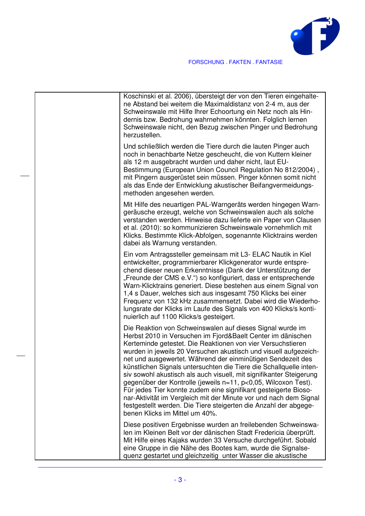

| Koschinski et al. 2006), übersteigt der von den Tieren eingehalte-<br>ne Abstand bei weitem die Maximaldistanz von 2-4 m, aus der<br>Schweinswale mit Hilfe Ihrer Echoortung ein Netz noch als Hin-<br>dernis bzw. Bedrohung wahrnehmen könnten. Folglich lernen<br>Schweinswale nicht, den Bezug zwischen Pinger und Bedrohung<br>herzustellen.                                                                                                                                                                                                                                                                                                                                                                                                                                        |
|-----------------------------------------------------------------------------------------------------------------------------------------------------------------------------------------------------------------------------------------------------------------------------------------------------------------------------------------------------------------------------------------------------------------------------------------------------------------------------------------------------------------------------------------------------------------------------------------------------------------------------------------------------------------------------------------------------------------------------------------------------------------------------------------|
| Und schließlich werden die Tiere durch die lauten Pinger auch<br>noch in benachbarte Netze gescheucht, die von Kuttern kleiner<br>als 12 m ausgebracht wurden und daher nicht, laut EU-<br>Bestimmung (European Union Council Regulation No 812/2004),<br>mit Pingern ausgerüstet sein müssen. Pinger können somit nicht<br>als das Ende der Entwicklung akustischer Beifangvermeidungs-<br>methoden angesehen werden.                                                                                                                                                                                                                                                                                                                                                                  |
| Mit Hilfe des neuartigen PAL-Warngeräts werden hingegen Warn-<br>geräusche erzeugt, welche von Schweinswalen auch als solche<br>verstanden werden. Hinweise dazu lieferte ein Paper von Clausen<br>et al. (2010): so kommunizieren Schweinswale vornehmlich mit<br>Klicks. Bestimmte Klick-Abfolgen, sogenannte Klicktrains werden<br>dabei als Warnung verstanden.                                                                                                                                                                                                                                                                                                                                                                                                                     |
| Ein vom Antragssteller gemeinsam mit L3- ELAC Nautik in Kiel<br>entwickelter, programmierbarer Klickgenerator wurde entspre-<br>chend dieser neuen Erkenntnisse (Dank der Unterstützung der<br>"Freunde der CMS e.V.") so konfiguriert, dass er entsprechende<br>Warn-Klicktrains generiert. Diese bestehen aus einem Signal von<br>1,4 s Dauer, welches sich aus insgesamt 750 Klicks bei einer<br>Frequenz von 132 kHz zusammensetzt. Dabei wird die Wiederho-<br>lungsrate der Klicks im Laufe des Signals von 400 Klicks/s konti-<br>nuierlich auf 1100 Klicks/s gesteigert.                                                                                                                                                                                                        |
| Die Reaktion von Schweinswalen auf dieses Signal wurde im<br>Herbst 2010 in Versuchen im Fjord&Baelt Center im dänischen<br>Kerteminde getestet. Die Reaktionen von vier Versuchstieren<br>wurden in jeweils 20 Versuchen akustisch und visuell aufgezeich-<br>net und ausgewertet. Während der einminütigen Sendezeit des<br>künstlichen Signals untersuchten die Tiere die Schallquelle inten-<br>siv sowohl akustisch als auch visuell, mit signifikanter Steigerung<br>gegenüber der Kontrolle (jeweils n=11, p<0,05, Wilcoxon Test).<br>Für jedes Tier konnte zudem eine signifikant gesteigerte Bioso-<br>nar-Aktivität im Vergleich mit der Minute vor und nach dem Signal<br>festgestellt werden. Die Tiere steigerten die Anzahl der abgege-<br>benen Klicks im Mittel um 40%. |
| Diese positiven Ergebnisse wurden an freilebenden Schweinswa-<br>len im Kleinen Belt vor der dänischen Stadt Fredericia überprüft.<br>Mit Hilfe eines Kajaks wurden 33 Versuche durchgeführt. Sobald<br>eine Gruppe in die Nähe des Bootes kam, wurde die Signalse-<br>quenz gestartet und gleichzeitig unter Wasser die akustische                                                                                                                                                                                                                                                                                                                                                                                                                                                     |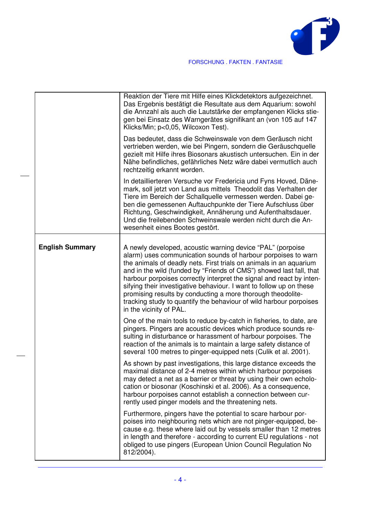

|                        | Reaktion der Tiere mit Hilfe eines Klickdetektors aufgezeichnet.<br>Das Ergebnis bestätigt die Resultate aus dem Aquarium: sowohl<br>die Annzahl als auch die Lautstärke der empfangenen Klicks stie-<br>gen bei Einsatz des Warngerätes signifikant an (von 105 auf 147<br>Klicks/Min; p<0,05, Wilcoxon Test).                                                                                                                                                                                                                                                                         |
|------------------------|-----------------------------------------------------------------------------------------------------------------------------------------------------------------------------------------------------------------------------------------------------------------------------------------------------------------------------------------------------------------------------------------------------------------------------------------------------------------------------------------------------------------------------------------------------------------------------------------|
|                        | Das bedeutet, dass die Schweinswale von dem Geräusch nicht<br>vertrieben werden, wie bei Pingern, sondern die Geräuschquelle<br>gezielt mit Hilfe ihres Biosonars akustisch untersuchen. Ein in der<br>Nähe befindliches, gefährliches Netz wäre dabei vermutlich auch<br>rechtzeitig erkannt worden.                                                                                                                                                                                                                                                                                   |
|                        | In detaillierteren Versuche vor Fredericia und Fyns Hoved, Däne-<br>mark, soll jetzt von Land aus mittels Theodolit das Verhalten der<br>Tiere im Bereich der Schallquelle vermessen werden. Dabei ge-<br>ben die gemessenen Auftauchpunkte der Tiere Aufschluss über<br>Richtung, Geschwindigkeit, Annäherung und Aufenthaltsdauer.<br>Und die freilebenden Schweinswale werden nicht durch die An-<br>wesenheit eines Bootes gestört.                                                                                                                                                 |
| <b>English Summary</b> | A newly developed, acoustic warning device "PAL" (porpoise<br>alarm) uses communication sounds of harbour porpoises to warn<br>the animals of deadly nets. First trials on animals in an aquarium<br>and in the wild (funded by "Friends of CMS") showed last fall, that<br>harbour porpoises correctly interpret the signal and react by inten-<br>sifying their investigative behaviour. I want to follow up on these<br>promising results by conducting a more thorough theodolite-<br>tracking study to quantify the behaviour of wild harbour porpoises<br>in the vicinity of PAL. |
|                        | One of the main tools to reduce by-catch in fisheries, to date, are<br>pingers. Pingers are acoustic devices which produce sounds re-<br>sulting in disturbance or harassment of harbour porpoises. The<br>reaction of the animals is to maintain a large safety distance of<br>several 100 metres to pinger-equipped nets (Culik et al. 2001).                                                                                                                                                                                                                                         |
|                        | As shown by past investigations, this large distance exceeds the<br>maximal distance of 2-4 metres within which harbour porpoises<br>may detect a net as a barrier or threat by using their own echolo-<br>cation or biosonar (Koschinski et al. 2006). As a consequence,<br>harbour porpoises cannot establish a connection between cur-<br>rently used pinger models and the threatening nets.                                                                                                                                                                                        |
|                        | Furthermore, pingers have the potential to scare harbour por-<br>poises into neighbouring nets which are not pinger-equipped, be-<br>cause e.g. these where laid out by vessels smaller than 12 metres<br>in length and therefore - according to current EU regulations - not<br>obliged to use pingers (European Union Council Regulation No<br>812/2004).                                                                                                                                                                                                                             |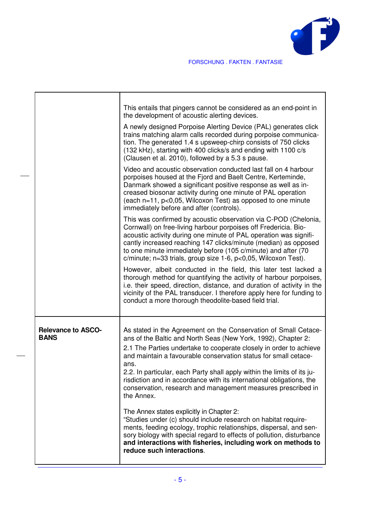

|                                          | This entails that pingers cannot be considered as an end-point in<br>the development of acoustic alerting devices.<br>A newly designed Porpoise Alerting Device (PAL) generates click<br>trains matching alarm calls recorded during porpoise communica-<br>tion. The generated 1.4 s upsweep-chirp consists of 750 clicks<br>(132 kHz), starting with 400 clicks/s and ending with 1100 c/s<br>(Clausen et al. 2010), followed by a 5.3 s pause.                                                                  |
|------------------------------------------|--------------------------------------------------------------------------------------------------------------------------------------------------------------------------------------------------------------------------------------------------------------------------------------------------------------------------------------------------------------------------------------------------------------------------------------------------------------------------------------------------------------------|
|                                          | Video and acoustic observation conducted last fall on 4 harbour<br>porpoises housed at the Fjord and Baelt Centre, Kerteminde,<br>Danmark showed a significant positive response as well as in-<br>creased biosonar activity during one minute of PAL operation<br>(each n=11, p<0,05, Wilcoxon Test) as opposed to one minute<br>immediately before and after (controls).                                                                                                                                         |
|                                          | This was confirmed by acoustic observation via C-POD (Chelonia,<br>Cornwall) on free-living harbour porpoises off Fredericia. Bio-<br>acoustic activity during one minute of PAL operation was signifi-<br>cantly increased reaching 147 clicks/minute (median) as opposed<br>to one minute immediately before (105 c/minute) and after (70<br>c/minute; n=33 trials, group size 1-6, p<0,05, Wilcoxon Test).                                                                                                      |
|                                          | However, albeit conducted in the field, this later test lacked a<br>thorough method for quantifying the activity of harbour porpoises,<br>i.e. their speed, direction, distance, and duration of activity in the<br>vicinity of the PAL transducer. I therefore apply here for funding to<br>conduct a more thorough theodolite-based field trial.                                                                                                                                                                 |
| <b>Relevance to ASCO-</b><br><b>BANS</b> | As stated in the Agreement on the Conservation of Small Cetace-<br>ans of the Baltic and North Seas (New York, 1992), Chapter 2:<br>2.1 The Parties undertake to cooperate closely in order to achieve<br>and maintain a favourable conservation status for small cetace-<br>ans.<br>2.2. In particular, each Party shall apply within the limits of its ju-<br>risdiction and in accordance with its international obligations, the<br>conservation, research and management measures prescribed in<br>the Annex. |
|                                          | The Annex states explicitly in Chapter 2:<br>"Studies under (c) should include research on habitat require-<br>ments, feeding ecology, trophic relationships, dispersal, and sen-<br>sory biology with special regard to effects of pollution, disturbance<br>and interactions with fisheries, including work on methods to<br>reduce such interactions.                                                                                                                                                           |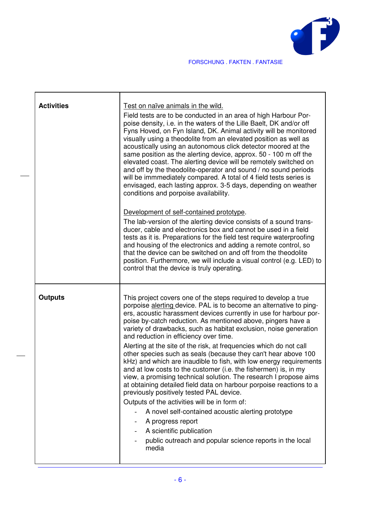

| <b>Activities</b> | Test on naïve animals in the wild.<br>Field tests are to be conducted in an area of high Harbour Por-<br>poise density, i.e. in the waters of the Lille Baelt, DK and/or off<br>Fyns Hoved, on Fyn Island, DK. Animal activity will be monitored<br>visually using a theodolite from an elevated position as well as<br>acoustically using an autonomous click detector moored at the<br>same position as the alerting device, approx. 50 - 100 m off the<br>elevated coast. The alerting device will be remotely switched on<br>and off by the theodolite-operator and sound / no sound periods<br>will be immmediately compared. A total of 4 field tests series is<br>envisaged, each lasting approx. 3-5 days, depending on weather<br>conditions and porpoise availability.<br>Development of self-contained prototype.<br>The lab-version of the alerting device consists of a sound trans-<br>ducer, cable and electronics box and cannot be used in a field<br>tests as it is. Preparations for the field test require waterproofing<br>and housing of the electronics and adding a remote control, so<br>that the device can be switched on and off from the theodolite<br>position. Furthermore, we will include a visual control (e.g. LED) to<br>control that the device is truly operating. |
|-------------------|----------------------------------------------------------------------------------------------------------------------------------------------------------------------------------------------------------------------------------------------------------------------------------------------------------------------------------------------------------------------------------------------------------------------------------------------------------------------------------------------------------------------------------------------------------------------------------------------------------------------------------------------------------------------------------------------------------------------------------------------------------------------------------------------------------------------------------------------------------------------------------------------------------------------------------------------------------------------------------------------------------------------------------------------------------------------------------------------------------------------------------------------------------------------------------------------------------------------------------------------------------------------------------------------------------|
| <b>Outputs</b>    | This project covers one of the steps required to develop a true<br>porpoise alerting device. PAL is to become an alternative to ping-<br>ers, acoustic harassment devices currently in use for harbour por-<br>poise by-catch reduction. As mentioned above, pingers have a<br>variety of drawbacks, such as habitat exclusion, noise generation<br>and reduction in efficiency over time.<br>Alerting at the site of the risk, at frequencies which do not call<br>other species such as seals (because they can't hear above 100<br>kHz) and which are inaudible to fish, with low energy requirements<br>and at low costs to the customer (i.e. the fishermen) is, in my<br>view, a promising technical solution. The research I propose aims<br>at obtaining detailed field data on harbour porpoise reactions to a<br>previously positively tested PAL device.<br>Outputs of the activities will be in form of:<br>A novel self-contained acoustic alerting prototype<br>A progress report<br>A scientific publication<br>public outreach and popular science reports in the local<br>media                                                                                                                                                                                                         |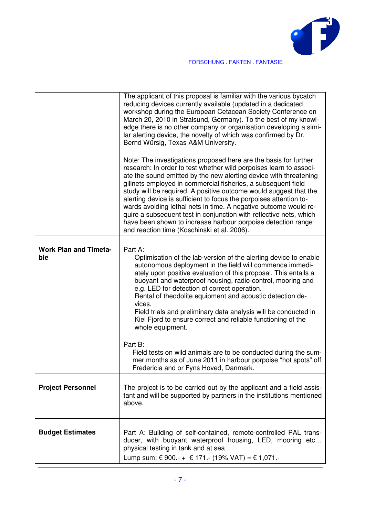

|                                     | The applicant of this proposal is familiar with the various bycatch<br>reducing devices currently available (updated in a dedicated<br>workshop during the European Cetacean Society Conference on<br>March 20, 2010 in Stralsund, Germany). To the best of my knowl-<br>edge there is no other company or organisation developing a simi-<br>lar alerting device, the novelty of which was confirmed by Dr.<br>Bernd Würsig, Texas A&M University.<br>Note: The investigations proposed here are the basis for further<br>research: In order to test whether wild porpoises learn to associ-<br>ate the sound emitted by the new alerting device with threatening<br>gillnets employed in commercial fisheries, a subsequent field<br>study will be required. A positive outcome would suggest that the<br>alerting device is sufficient to focus the porpoises attention to-<br>wards avoiding lethal nets in time. A negative outcome would re-<br>quire a subsequent test in conjunction with reflective nets, which<br>have been shown to increase harbour porpoise detection range<br>and reaction time (Koschinski et al. 2006). |
|-------------------------------------|-----------------------------------------------------------------------------------------------------------------------------------------------------------------------------------------------------------------------------------------------------------------------------------------------------------------------------------------------------------------------------------------------------------------------------------------------------------------------------------------------------------------------------------------------------------------------------------------------------------------------------------------------------------------------------------------------------------------------------------------------------------------------------------------------------------------------------------------------------------------------------------------------------------------------------------------------------------------------------------------------------------------------------------------------------------------------------------------------------------------------------------------|
| <b>Work Plan and Timeta-</b><br>ble | Part A:<br>Optimisation of the lab-version of the alerting device to enable<br>autonomous deployment in the field will commence immedi-<br>ately upon positive evaluation of this proposal. This entails a<br>buoyant and waterproof housing, radio-control, mooring and<br>e.g. LED for detection of correct operation.<br>Rental of theodolite equipment and acoustic detection de-<br>vices.<br>Field trials and preliminary data analysis will be conducted in<br>Kiel Fjord to ensure correct and reliable functioning of the<br>whole equipment.                                                                                                                                                                                                                                                                                                                                                                                                                                                                                                                                                                                  |
|                                     | Part B:<br>Field tests on wild animals are to be conducted during the sum-<br>mer months as of June 2011 in harbour porpoise "hot spots" off<br>Fredericia and or Fyns Hoved, Danmark.                                                                                                                                                                                                                                                                                                                                                                                                                                                                                                                                                                                                                                                                                                                                                                                                                                                                                                                                                  |
| <b>Project Personnel</b>            | The project is to be carried out by the applicant and a field assis-<br>tant and will be supported by partners in the institutions mentioned<br>above.                                                                                                                                                                                                                                                                                                                                                                                                                                                                                                                                                                                                                                                                                                                                                                                                                                                                                                                                                                                  |
| <b>Budget Estimates</b>             | Part A: Building of self-contained, remote-controlled PAL trans-<br>ducer, with buoyant waterproof housing, LED, mooring etc<br>physical testing in tank and at sea<br>Lump sum: € 900.- + € 171.- (19% VAT) = € 1,071.-                                                                                                                                                                                                                                                                                                                                                                                                                                                                                                                                                                                                                                                                                                                                                                                                                                                                                                                |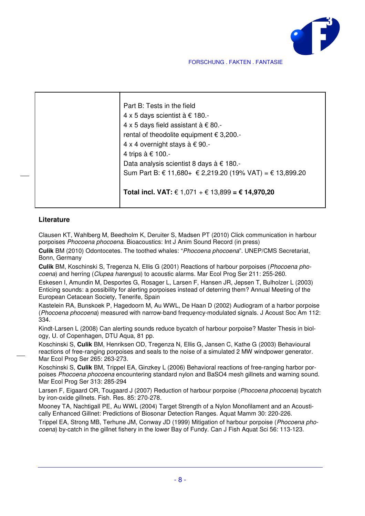

| Part B: Tests in the field                               |
|----------------------------------------------------------|
| 4 x 5 days scientist à € 180.-                           |
| 4 x 5 days field assistant à € 80.-                      |
| rental of theodolite equipment € 3,200.-                 |
| 4 x 4 overnight stays à € 90.-                           |
| 4 trips à € 100.-                                        |
| Data analysis scientist 8 days à € 180.-                 |
| Sum Part B: € 11,680+ € 2,219.20 (19% VAT) = € 13,899.20 |
|                                                          |
| Total incl. VAT: € 1,071 + € 13,899 = € 14,970,20        |
|                                                          |

#### **Literature**

Clausen KT, Wahlberg M, Beedholm K, Deruiter S, Madsen PT (2010) Click communication in harbour porpoises Phocoena phocoena. Bioacoustics: Int J Anim Sound Record (in press)

**Culik** BM (2010) Odontocetes. The toothed whales: "Phocoena phocoena". UNEP/CMS Secretariat, Bonn, Germany

**Culik** BM, Koschinski S, Tregenza N, Ellis G (2001) Reactions of harbour porpoises (Phocoena phocoena) and herring (Clupea harengus) to acoustic alarms. Mar Ecol Prog Ser 211: 255-260.

Eskesen I, Amundin M, Desportes G, Rosager L, Larsen F, Hansen JR, Jepsen T, Bulholzer L (2003) Enticing sounds: a possibility for alerting porpoises instead of deterring them? Annual Meeting of the European Cetacean Society, Tenerife, Spain

Kastelein RA, Bunskoek P, Hagedoorn M, Au WWL, De Haan D (2002) Audiogram of a harbor porpoise (Phocoena phocoena) measured with narrow-band frequency-modulated signals. J Acoust Soc Am 112: 334.

Kindt-Larsen L (2008) Can alerting sounds reduce bycatch of harbour porpoise? Master Thesis in biology, U. of Copenhagen, DTU Aqua, 81 pp.

Koschinski S, **Culik** BM, Henriksen OD, Tregenza N, Ellis G, Jansen C, Kathe G (2003) Behavioural reactions of free-ranging porpoises and seals to the noise of a simulated 2 MW windpower generator. Mar Ecol Prog Ser 265: 263-273.

Koschinski S, **Culik** BM, Trippel EA, Ginzkey L (2006) Behavioral reactions of free-ranging harbor porpoises Phocoena phocoena encountering standard nylon and BaSO4 mesh gillnets and warning sound. Mar Ecol Prog Ser 313: 285-294

Larsen F, Eigaard OR, Tougaard J (2007) Reduction of harbour porpoise (Phocoena phocoena) bycatch by iron-oxide gillnets. Fish. Res. 85: 270-278.

Mooney TA, Nachtigall PE, Au WWL (2004) Target Strength of a Nylon Monofilament and an Acoustically Enhanced Gillnet: Predictions of Biosonar Detection Ranges. Aquat Mamm 30: 220-226.

Trippel EA, Strong MB, Terhune JM, Conway JD (1999) Mitigation of harbour porpoise (Phocoena phocoena) by-catch in the gillnet fishery in the lower Bay of Fundy. Can J Fish Aquat Sci 56: 113-123.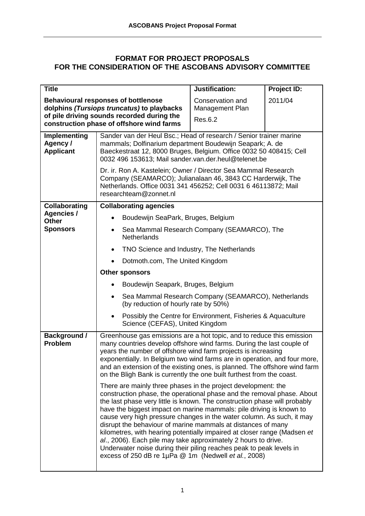# **FORMAT FOR PROJECT PROPOSALS FOR THE CONSIDERATION OF THE ASCOBANS ADVISORY COMMITTEE**

| <b>Title</b>                                        |                                                                                                                                                                                                                                                                                                                                                                                                                                                                                                                                                                                                                                                                                                                                                                                                                                                                                                                                                                                                                                                                                                                                                                         | Justification: | Project ID: |  |  |  |
|-----------------------------------------------------|-------------------------------------------------------------------------------------------------------------------------------------------------------------------------------------------------------------------------------------------------------------------------------------------------------------------------------------------------------------------------------------------------------------------------------------------------------------------------------------------------------------------------------------------------------------------------------------------------------------------------------------------------------------------------------------------------------------------------------------------------------------------------------------------------------------------------------------------------------------------------------------------------------------------------------------------------------------------------------------------------------------------------------------------------------------------------------------------------------------------------------------------------------------------------|----------------|-------------|--|--|--|
|                                                     | 2011/04<br><b>Behavioural responses of bottlenose</b><br>Conservation and<br>dolphins (Tursiops truncatus) to playbacks<br>Management Plan<br>of pile driving sounds recorded during the<br>Res.6.2<br>construction phase of offshore wind farms                                                                                                                                                                                                                                                                                                                                                                                                                                                                                                                                                                                                                                                                                                                                                                                                                                                                                                                        |                |             |  |  |  |
| <b>Implementing</b><br>Agency /<br><b>Applicant</b> | Sander van der Heul Bsc.; Head of research / Senior trainer marine<br>mammals; Dolfinarium department Boudewijn Seapark; A. de<br>Baeckestraat 12, 8000 Bruges, Belgium. Office 0032 50 408415; Cell<br>0032 496 153613; Mail sander.van.der.heul@telenet.be<br>Dr. ir. Ron A. Kastelein; Owner / Director Sea Mammal Research<br>Company (SEAMARCO); Julianalaan 46, 3843 CC Harderwijk, The<br>Netherlands. Office 0031 341 456252; Cell 0031 6 46113872; Mail                                                                                                                                                                                                                                                                                                                                                                                                                                                                                                                                                                                                                                                                                                        |                |             |  |  |  |
|                                                     | researchteam@zonnet.nl                                                                                                                                                                                                                                                                                                                                                                                                                                                                                                                                                                                                                                                                                                                                                                                                                                                                                                                                                                                                                                                                                                                                                  |                |             |  |  |  |
| <b>Collaborating</b><br><b>Agencies /</b>           | <b>Collaborating agencies</b>                                                                                                                                                                                                                                                                                                                                                                                                                                                                                                                                                                                                                                                                                                                                                                                                                                                                                                                                                                                                                                                                                                                                           |                |             |  |  |  |
| <b>Other</b>                                        | Boudewijn SeaPark, Bruges, Belgium                                                                                                                                                                                                                                                                                                                                                                                                                                                                                                                                                                                                                                                                                                                                                                                                                                                                                                                                                                                                                                                                                                                                      |                |             |  |  |  |
| <b>Sponsors</b>                                     | Sea Mammal Research Company (SEAMARCO), The<br><b>Netherlands</b>                                                                                                                                                                                                                                                                                                                                                                                                                                                                                                                                                                                                                                                                                                                                                                                                                                                                                                                                                                                                                                                                                                       |                |             |  |  |  |
|                                                     | TNO Science and Industry, The Netherlands                                                                                                                                                                                                                                                                                                                                                                                                                                                                                                                                                                                                                                                                                                                                                                                                                                                                                                                                                                                                                                                                                                                               |                |             |  |  |  |
|                                                     | Dotmoth.com, The United Kingdom                                                                                                                                                                                                                                                                                                                                                                                                                                                                                                                                                                                                                                                                                                                                                                                                                                                                                                                                                                                                                                                                                                                                         |                |             |  |  |  |
|                                                     | Other sponsors                                                                                                                                                                                                                                                                                                                                                                                                                                                                                                                                                                                                                                                                                                                                                                                                                                                                                                                                                                                                                                                                                                                                                          |                |             |  |  |  |
|                                                     | Boudewijn Seapark, Bruges, Belgium                                                                                                                                                                                                                                                                                                                                                                                                                                                                                                                                                                                                                                                                                                                                                                                                                                                                                                                                                                                                                                                                                                                                      |                |             |  |  |  |
|                                                     | Sea Mammal Research Company (SEAMARCO), Netherlands<br>$\bullet$<br>(by reduction of hourly rate by 50%)                                                                                                                                                                                                                                                                                                                                                                                                                                                                                                                                                                                                                                                                                                                                                                                                                                                                                                                                                                                                                                                                |                |             |  |  |  |
|                                                     | Possibly the Centre for Environment, Fisheries & Aquaculture<br>Science (CEFAS), United Kingdom                                                                                                                                                                                                                                                                                                                                                                                                                                                                                                                                                                                                                                                                                                                                                                                                                                                                                                                                                                                                                                                                         |                |             |  |  |  |
| <b>Background /</b><br><b>Problem</b>               | Greenhouse gas emissions are a hot topic, and to reduce this emission<br>many countries develop offshore wind farms. During the last couple of<br>years the number of offshore wind farm projects is increasing<br>exponentially. In Belgium two wind farms are in operation, and four more,<br>and an extension of the existing ones, is planned. The offshore wind farm<br>on the Bligh Bank is currently the one built furthest from the coast.<br>There are mainly three phases in the project development: the<br>construction phase, the operational phase and the removal phase. About<br>the last phase very little is known. The construction phase will probably<br>have the biggest impact on marine mammals: pile driving is known to<br>cause very high pressure changes in the water column. As such, it may<br>disrupt the behaviour of marine mammals at distances of many<br>kilometres, with hearing potentially impaired at closer range (Madsen et<br>al., 2006). Each pile may take approximately 2 hours to drive.<br>Underwater noise during their piling reaches peak to peak levels in<br>excess of 250 dB re 1µPa @ 1m (Nedwell et al., 2008) |                |             |  |  |  |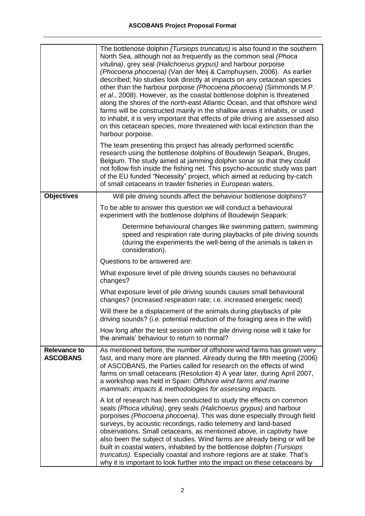|                                        | The bottlenose dolphin (Tursiops truncatus) is also found in the southern<br>North Sea, although not as frequently as the common seal (Phoca<br>vitulina), grey seal (Halichoerus grypus) and harbour porpoise<br>(Phocoena phocoena) (Van der Meij & Camphuysen, 2006). As earlier<br>described; No studies look directly at impacts on any cetacean species<br>other than the harbour porpoise (Phocoena phocoena) (Simmonds M.P.<br>et al., 2008). However, as the coastal bottlenose dolphin is threatened<br>along the shores of the north-east Atlantic Ocean, and that offshore wind<br>farms will be constructed mainly in the shallow areas it inhabits, or used<br>to inhabit, it is very important that effects of pile driving are assessed also<br>on this cetacean species, more threatened with local extinction than the<br>harbour porpoise. |
|----------------------------------------|---------------------------------------------------------------------------------------------------------------------------------------------------------------------------------------------------------------------------------------------------------------------------------------------------------------------------------------------------------------------------------------------------------------------------------------------------------------------------------------------------------------------------------------------------------------------------------------------------------------------------------------------------------------------------------------------------------------------------------------------------------------------------------------------------------------------------------------------------------------|
|                                        | The team presenting this project has already performed scientific<br>research using the bottlenose dolphins of Boudewijn Seapark, Bruges,<br>Belgium. The study aimed at jamming dolphin sonar so that they could<br>not follow fish inside the fishing net. This psycho-acoustic study was part<br>of the EU funded "Necessity" project, which aimed at reducing by-catch<br>of small cetaceans in trawler fisheries in European waters.                                                                                                                                                                                                                                                                                                                                                                                                                     |
| <b>Objectives</b>                      | Will pile driving sounds affect the behaviour bottlenose dolphins?                                                                                                                                                                                                                                                                                                                                                                                                                                                                                                                                                                                                                                                                                                                                                                                            |
|                                        | To be able to answer this question we will conduct a behavioural<br>experiment with the bottlenose dolphins of Boudewijn Seapark:                                                                                                                                                                                                                                                                                                                                                                                                                                                                                                                                                                                                                                                                                                                             |
|                                        | Determine behavioural changes like swimming pattern, swimming<br>speed and respiration rate during playbacks of pile driving sounds<br>(during the experiments the well-being of the animals is taken in<br>consideration).                                                                                                                                                                                                                                                                                                                                                                                                                                                                                                                                                                                                                                   |
|                                        | Questions to be answered are:                                                                                                                                                                                                                                                                                                                                                                                                                                                                                                                                                                                                                                                                                                                                                                                                                                 |
|                                        | What exposure level of pile driving sounds causes no behavioural<br>changes?                                                                                                                                                                                                                                                                                                                                                                                                                                                                                                                                                                                                                                                                                                                                                                                  |
|                                        | What exposure level of pile driving sounds causes small behavioural<br>changes? (increased respiration rate; i.e. increased energetic need)                                                                                                                                                                                                                                                                                                                                                                                                                                                                                                                                                                                                                                                                                                                   |
|                                        | Will there be a displacement of the animals during playbacks of pile<br>driving sounds? (i.e. potential reduction of the foraging area in the wild)                                                                                                                                                                                                                                                                                                                                                                                                                                                                                                                                                                                                                                                                                                           |
|                                        | How long after the test session with the pile driving noise will it take for<br>the animals' behaviour to return to normal?                                                                                                                                                                                                                                                                                                                                                                                                                                                                                                                                                                                                                                                                                                                                   |
| <b>Relevance to</b><br><b>ASCOBANS</b> | As mentioned before, the number of offshore wind farms has grown very<br>fast, and many more are planned. Already during the fifth meeting (2006)<br>of ASCOBANS, the Parties called for research on the effects of wind<br>farms on small cetaceans (Resolution 4) A year later, during April 2007,<br>a workshop was held in Spain: Offshore wind farms and marine<br>mammals: impacts & methodologies for assessing impacts.                                                                                                                                                                                                                                                                                                                                                                                                                               |
|                                        | A lot of research has been conducted to study the effects on common<br>seals (Phoca vitulina), grey seals (Halichoerus grypus) and harbour<br>porpoises (Phocoena phocoena). This was done especially through field<br>surveys, by acoustic recordings, radio telemetry and land-based<br>observations. Small cetaceans, as mentioned above, in captivity have<br>also been the subject of studies. Wind farms are already being or will be<br>built in coastal waters, inhabited by the bottlenose dolphin (Tursiops<br>truncatus). Especially coastal and inshore regions are at stake. That's<br>why it is important to look further into the impact on these cetaceans by                                                                                                                                                                                 |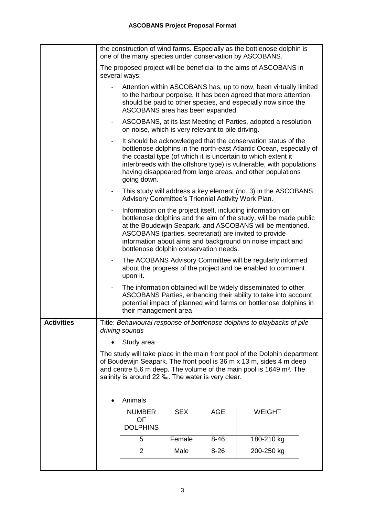|                   | the construction of wind farms. Especially as the bottlenose dolphin is<br>one of the many species under conservation by ASCOBANS. |                                                                                                                                                                                                                                                                                           |                                                                                                                                                                                                                                                                                                                                                                |            |                                                                                                                                                                                                                                                                                                                                            |  |  |
|-------------------|------------------------------------------------------------------------------------------------------------------------------------|-------------------------------------------------------------------------------------------------------------------------------------------------------------------------------------------------------------------------------------------------------------------------------------------|----------------------------------------------------------------------------------------------------------------------------------------------------------------------------------------------------------------------------------------------------------------------------------------------------------------------------------------------------------------|------------|--------------------------------------------------------------------------------------------------------------------------------------------------------------------------------------------------------------------------------------------------------------------------------------------------------------------------------------------|--|--|
|                   |                                                                                                                                    | several ways:                                                                                                                                                                                                                                                                             |                                                                                                                                                                                                                                                                                                                                                                |            | The proposed project will be beneficial to the aims of ASCOBANS in                                                                                                                                                                                                                                                                         |  |  |
|                   |                                                                                                                                    | ASCOBANS area has been expanded.                                                                                                                                                                                                                                                          |                                                                                                                                                                                                                                                                                                                                                                |            | Attention within ASCOBANS has, up to now, been virtually limited<br>to the harbour porpoise. It has been agreed that more attention<br>should be paid to other species, and especially now since the                                                                                                                                       |  |  |
|                   | $\overline{\phantom{a}}$                                                                                                           | on noise, which is very relevant to pile driving.                                                                                                                                                                                                                                         |                                                                                                                                                                                                                                                                                                                                                                |            | ASCOBANS, at its last Meeting of Parties, adopted a resolution                                                                                                                                                                                                                                                                             |  |  |
|                   |                                                                                                                                    | going down.                                                                                                                                                                                                                                                                               |                                                                                                                                                                                                                                                                                                                                                                |            | It should be acknowledged that the conservation status of the<br>bottlenose dolphins in the north-east Atlantic Ocean, especially of<br>the coastal type (of which it is uncertain to which extent it<br>interbreeds with the offshore type) is vulnerable, with populations<br>having disappeared from large areas, and other populations |  |  |
|                   | $\blacksquare$                                                                                                                     |                                                                                                                                                                                                                                                                                           | This study will address a key element (no. 3) in the ASCOBANS<br>Advisory Committee's Triennial Activity Work Plan.                                                                                                                                                                                                                                            |            |                                                                                                                                                                                                                                                                                                                                            |  |  |
|                   | $\overline{\phantom{a}}$                                                                                                           |                                                                                                                                                                                                                                                                                           | Information on the project itself, including information on<br>bottlenose dolphins and the aim of the study, will be made public<br>at the Boudewijn Seapark, and ASCOBANS will be mentioned.<br>ASCOBANS (parties, secretariat) are invited to provide<br>information about aims and background on noise impact and<br>bottlenose dolphin conservation needs. |            |                                                                                                                                                                                                                                                                                                                                            |  |  |
|                   | -                                                                                                                                  | The ACOBANS Advisory Committee will be regularly informed<br>about the progress of the project and be enabled to comment<br>upon it.                                                                                                                                                      |                                                                                                                                                                                                                                                                                                                                                                |            |                                                                                                                                                                                                                                                                                                                                            |  |  |
|                   |                                                                                                                                    | The information obtained will be widely disseminated to other<br>ASCOBANS Parties, enhancing their ability to take into account<br>potential impact of planned wind farms on bottlenose dolphins in<br>their management area                                                              |                                                                                                                                                                                                                                                                                                                                                                |            |                                                                                                                                                                                                                                                                                                                                            |  |  |
| <b>Activities</b> |                                                                                                                                    | driving sounds                                                                                                                                                                                                                                                                            |                                                                                                                                                                                                                                                                                                                                                                |            | Title: Behavioural response of bottlenose dolphins to playbacks of pile                                                                                                                                                                                                                                                                    |  |  |
|                   | Study area                                                                                                                         |                                                                                                                                                                                                                                                                                           |                                                                                                                                                                                                                                                                                                                                                                |            |                                                                                                                                                                                                                                                                                                                                            |  |  |
|                   |                                                                                                                                    | The study will take place in the main front pool of the Dolphin department<br>of Boudewijn Seapark. The front pool is 36 m x 13 m, sides 4 m deep<br>and centre 5.6 m deep. The volume of the main pool is 1649 m <sup>3</sup> . The<br>salinity is around 22 ‰. The water is very clear. |                                                                                                                                                                                                                                                                                                                                                                |            |                                                                                                                                                                                                                                                                                                                                            |  |  |
|                   |                                                                                                                                    | Animals                                                                                                                                                                                                                                                                                   |                                                                                                                                                                                                                                                                                                                                                                |            |                                                                                                                                                                                                                                                                                                                                            |  |  |
|                   |                                                                                                                                    | <b>NUMBER</b><br>OF<br><b>DOLPHINS</b>                                                                                                                                                                                                                                                    | <b>SEX</b>                                                                                                                                                                                                                                                                                                                                                     | <b>AGE</b> | <b>WEIGHT</b>                                                                                                                                                                                                                                                                                                                              |  |  |
|                   |                                                                                                                                    | 5                                                                                                                                                                                                                                                                                         | Female                                                                                                                                                                                                                                                                                                                                                         | $8 - 46$   | 180-210 kg                                                                                                                                                                                                                                                                                                                                 |  |  |
|                   |                                                                                                                                    | $\overline{2}$                                                                                                                                                                                                                                                                            | Male                                                                                                                                                                                                                                                                                                                                                           | $8 - 26$   | 200-250 kg                                                                                                                                                                                                                                                                                                                                 |  |  |
|                   |                                                                                                                                    |                                                                                                                                                                                                                                                                                           |                                                                                                                                                                                                                                                                                                                                                                |            |                                                                                                                                                                                                                                                                                                                                            |  |  |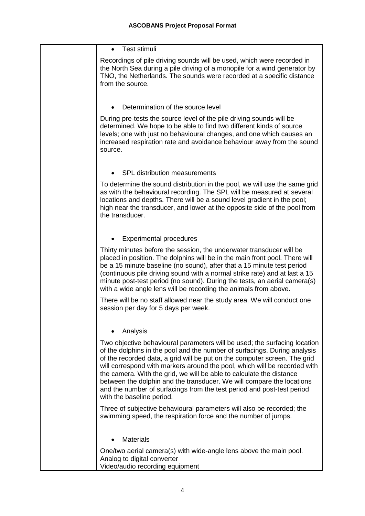| Test stimuli<br>$\bullet$                                                                                                                                                                                                                                                                                                                                                                                                                                                                                                                                                |
|--------------------------------------------------------------------------------------------------------------------------------------------------------------------------------------------------------------------------------------------------------------------------------------------------------------------------------------------------------------------------------------------------------------------------------------------------------------------------------------------------------------------------------------------------------------------------|
| Recordings of pile driving sounds will be used, which were recorded in<br>the North Sea during a pile driving of a monopile for a wind generator by<br>TNO, the Netherlands. The sounds were recorded at a specific distance<br>from the source.                                                                                                                                                                                                                                                                                                                         |
| Determination of the source level                                                                                                                                                                                                                                                                                                                                                                                                                                                                                                                                        |
| During pre-tests the source level of the pile driving sounds will be<br>determined. We hope to be able to find two different kinds of source<br>levels; one with just no behavioural changes, and one which causes an<br>increased respiration rate and avoidance behaviour away from the sound<br>source.                                                                                                                                                                                                                                                               |
| <b>SPL distribution measurements</b>                                                                                                                                                                                                                                                                                                                                                                                                                                                                                                                                     |
|                                                                                                                                                                                                                                                                                                                                                                                                                                                                                                                                                                          |
| To determine the sound distribution in the pool, we will use the same grid<br>as with the behavioural recording. The SPL will be measured at several<br>locations and depths. There will be a sound level gradient in the pool;<br>high near the transducer, and lower at the opposite side of the pool from<br>the transducer.                                                                                                                                                                                                                                          |
| <b>Experimental procedures</b>                                                                                                                                                                                                                                                                                                                                                                                                                                                                                                                                           |
| Thirty minutes before the session, the underwater transducer will be<br>placed in position. The dolphins will be in the main front pool. There will<br>be a 15 minute baseline (no sound), after that a 15 minute test period<br>(continuous pile driving sound with a normal strike rate) and at last a 15<br>minute post-test period (no sound). During the tests, an aerial camera(s)<br>with a wide angle lens will be recording the animals from above.                                                                                                             |
| There will be no staff allowed near the study area. We will conduct one<br>session per day for 5 days per week.                                                                                                                                                                                                                                                                                                                                                                                                                                                          |
| Analysis                                                                                                                                                                                                                                                                                                                                                                                                                                                                                                                                                                 |
| Two objective behavioural parameters will be used; the surfacing location<br>of the dolphins in the pool and the number of surfacings. During analysis<br>of the recorded data, a grid will be put on the computer screen. The grid<br>will correspond with markers around the pool, which will be recorded with<br>the camera. With the grid, we will be able to calculate the distance<br>between the dolphin and the transducer. We will compare the locations<br>and the number of surfacings from the test period and post-test period<br>with the baseline period. |
| Three of subjective behavioural parameters will also be recorded; the<br>swimming speed, the respiration force and the number of jumps.                                                                                                                                                                                                                                                                                                                                                                                                                                  |
| <b>Materials</b>                                                                                                                                                                                                                                                                                                                                                                                                                                                                                                                                                         |
| One/two aerial camera(s) with wide-angle lens above the main pool.<br>Analog to digital converter<br>Video/audio recording equipment                                                                                                                                                                                                                                                                                                                                                                                                                                     |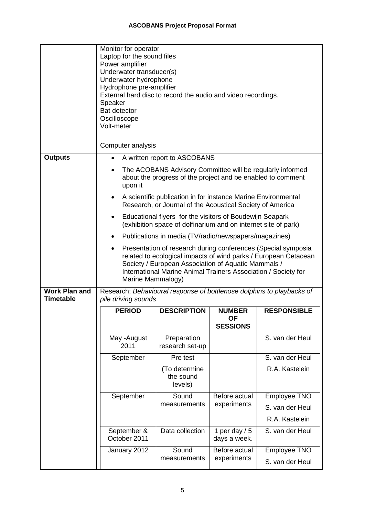|                                          | Monitor for operator<br>Laptop for the sound files<br>Power amplifier<br>Underwater transducer(s)<br>Underwater hydrophone<br>Hydrophone pre-amplifier<br>External hard disc to record the audio and video recordings.<br>Speaker<br><b>Bat detector</b><br>Oscilloscope<br>Volt-meter |                                                                                                                                                                                                                                                                                |                                 |                                                                       |  |  |
|------------------------------------------|----------------------------------------------------------------------------------------------------------------------------------------------------------------------------------------------------------------------------------------------------------------------------------------|--------------------------------------------------------------------------------------------------------------------------------------------------------------------------------------------------------------------------------------------------------------------------------|---------------------------------|-----------------------------------------------------------------------|--|--|
|                                          | Computer analysis                                                                                                                                                                                                                                                                      |                                                                                                                                                                                                                                                                                |                                 |                                                                       |  |  |
| <b>Outputs</b>                           | $\bullet$                                                                                                                                                                                                                                                                              | A written report to ASCOBANS                                                                                                                                                                                                                                                   |                                 |                                                                       |  |  |
|                                          | $\bullet$<br>upon it                                                                                                                                                                                                                                                                   | The ACOBANS Advisory Committee will be regularly informed<br>about the progress of the project and be enabled to comment                                                                                                                                                       |                                 |                                                                       |  |  |
|                                          |                                                                                                                                                                                                                                                                                        | A scientific publication in for instance Marine Environmental<br>Research, or Journal of the Acoustical Society of America                                                                                                                                                     |                                 |                                                                       |  |  |
|                                          | ٠                                                                                                                                                                                                                                                                                      | Educational flyers for the visitors of Boudewijn Seapark<br>(exhibition space of dolfinarium and on internet site of park)                                                                                                                                                     |                                 |                                                                       |  |  |
|                                          | $\bullet$                                                                                                                                                                                                                                                                              | Publications in media (TV/radio/newspapers/magazines)                                                                                                                                                                                                                          |                                 |                                                                       |  |  |
|                                          | $\bullet$                                                                                                                                                                                                                                                                              | Presentation of research during conferences (Special symposia<br>related to ecological impacts of wind parks / European Cetacean<br>Society / European Association of Aquatic Mammals /<br>International Marine Animal Trainers Association / Society for<br>Marine Mammalogy) |                                 |                                                                       |  |  |
| <b>Work Plan and</b><br><b>Timetable</b> | pile driving sounds                                                                                                                                                                                                                                                                    |                                                                                                                                                                                                                                                                                |                                 | Research; Behavioural response of bottlenose dolphins to playbacks of |  |  |
|                                          | <b>PERIOD</b>                                                                                                                                                                                                                                                                          | <b>DESCRIPTION</b>                                                                                                                                                                                                                                                             | <b>NUMBER</b>                   | <b>RESPONSIBLE</b>                                                    |  |  |
|                                          |                                                                                                                                                                                                                                                                                        |                                                                                                                                                                                                                                                                                | <b>OF</b><br><b>SESSIONS</b>    |                                                                       |  |  |
|                                          | May -August<br>2011                                                                                                                                                                                                                                                                    | Preparation<br>research set-up                                                                                                                                                                                                                                                 |                                 | S. van der Heul                                                       |  |  |
|                                          | September                                                                                                                                                                                                                                                                              | Pre test                                                                                                                                                                                                                                                                       |                                 | S. van der Heul                                                       |  |  |
|                                          |                                                                                                                                                                                                                                                                                        | (To determine<br>the sound<br>levels)                                                                                                                                                                                                                                          |                                 | R.A. Kastelein                                                        |  |  |
|                                          | September                                                                                                                                                                                                                                                                              | Sound                                                                                                                                                                                                                                                                          | Before actual                   | Employee TNO                                                          |  |  |
|                                          |                                                                                                                                                                                                                                                                                        | measurements                                                                                                                                                                                                                                                                   | experiments                     | S. van der Heul                                                       |  |  |
|                                          |                                                                                                                                                                                                                                                                                        |                                                                                                                                                                                                                                                                                |                                 | R.A. Kastelein                                                        |  |  |
|                                          | September &<br>October 2011                                                                                                                                                                                                                                                            | Data collection                                                                                                                                                                                                                                                                | 1 per day $/ 5$<br>days a week. | S. van der Heul                                                       |  |  |
|                                          | January 2012                                                                                                                                                                                                                                                                           | Sound<br>measurements                                                                                                                                                                                                                                                          | Before actual<br>experiments    | Employee TNO                                                          |  |  |
|                                          |                                                                                                                                                                                                                                                                                        |                                                                                                                                                                                                                                                                                |                                 | S. van der Heul                                                       |  |  |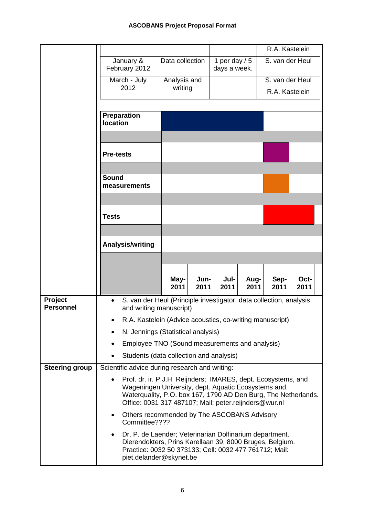|                             |                                                          |                                                                                                                                                                                                          |                                 | R.A. Kastelein                                                     |
|-----------------------------|----------------------------------------------------------|----------------------------------------------------------------------------------------------------------------------------------------------------------------------------------------------------------|---------------------------------|--------------------------------------------------------------------|
|                             | January &<br>February 2012                               | Data collection                                                                                                                                                                                          | 1 per day $/ 5$<br>days a week. | S. van der Heul                                                    |
|                             | March - July<br>2012                                     | Analysis and<br>writing                                                                                                                                                                                  |                                 | S. van der Heul<br>R.A. Kastelein                                  |
|                             | Preparation                                              |                                                                                                                                                                                                          |                                 |                                                                    |
|                             | <b>location</b>                                          |                                                                                                                                                                                                          |                                 |                                                                    |
|                             | <b>Pre-tests</b>                                         |                                                                                                                                                                                                          |                                 |                                                                    |
|                             | <b>Sound</b><br>measurements                             |                                                                                                                                                                                                          |                                 |                                                                    |
|                             | Tests                                                    |                                                                                                                                                                                                          |                                 |                                                                    |
|                             | Analysis/writing                                         |                                                                                                                                                                                                          |                                 |                                                                    |
|                             |                                                          |                                                                                                                                                                                                          |                                 |                                                                    |
|                             |                                                          | May-<br>Jun-<br>2011<br>2011                                                                                                                                                                             | Jul-<br>Aug-<br>2011<br>2011    | Sep-<br>Oct-<br>2011<br>2011                                       |
| Project<br><b>Personnel</b> | $\bullet$                                                | and writing manuscript)                                                                                                                                                                                  |                                 | S. van der Heul (Principle investigator, data collection, analysis |
|                             | R.A. Kastelein (Advice acoustics, co-writing manuscript) |                                                                                                                                                                                                          |                                 |                                                                    |
|                             | ٠                                                        | N. Jennings (Statistical analysis)                                                                                                                                                                       |                                 |                                                                    |
|                             | $\bullet$                                                | Employee TNO (Sound measurements and analysis)                                                                                                                                                           |                                 |                                                                    |
|                             | $\bullet$                                                | Students (data collection and analysis)                                                                                                                                                                  |                                 |                                                                    |
| <b>Steering group</b>       | Scientific advice during research and writing:           |                                                                                                                                                                                                          |                                 |                                                                    |
|                             | $\bullet$                                                | Prof. dr. ir. P.J.H. Reijnders; IMARES, dept. Ecosystems, and<br>Wageningen University, dept. Aquatic Ecosystems and<br>Office: 0031 317 487107; Mail: peter.reijnders@wur.nl                            |                                 | Waterquality, P.O. box 167, 1790 AD Den Burg, The Netherlands.     |
|                             | $\bullet$<br>Committee????                               | Others recommended by The ASCOBANS Advisory                                                                                                                                                              |                                 |                                                                    |
|                             | ٠                                                        | Dr. P. de Laender; Veterinarian Dolfinarium department.<br>Dierendokters, Prins Karellaan 39, 8000 Bruges, Belgium.<br>Practice: 0032 50 373133; Cell: 0032 477 761712; Mail:<br>piet.delander@skynet.be |                                 |                                                                    |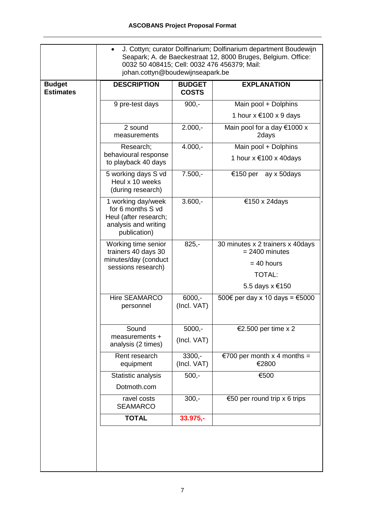|                                   | J. Cottyn; curator Dolfinarium; Dolfinarium department Boudewijn<br>Seapark; A. de Baeckestraat 12, 8000 Bruges, Belgium. Office:<br>0032 50 408415; Cell: 0032 476 456379; Mail:<br>johan.cottyn@boudewijnseapark.be |                               |                                                      |  |
|-----------------------------------|-----------------------------------------------------------------------------------------------------------------------------------------------------------------------------------------------------------------------|-------------------------------|------------------------------------------------------|--|
| <b>Budget</b><br><b>Estimates</b> | <b>DESCRIPTION</b>                                                                                                                                                                                                    | <b>BUDGET</b><br><b>COSTS</b> | <b>EXPLANATION</b>                                   |  |
|                                   | 9 pre-test days                                                                                                                                                                                                       | $900,-$                       | Main pool + Dolphins                                 |  |
|                                   |                                                                                                                                                                                                                       |                               | 1 hour $x \in 100 \times 9$ days                     |  |
|                                   | 2 sound<br>measurements                                                                                                                                                                                               | $2.000,-$                     | Main pool for a day $€1000 x$<br>2days               |  |
|                                   | Research;                                                                                                                                                                                                             | $4.000,-$                     | Main pool + Dolphins                                 |  |
|                                   | behavioural response<br>to playback 40 days                                                                                                                                                                           |                               | 1 hour $x \notin 100$ x 40 days                      |  |
|                                   | 5 working days S vd<br>Heul x 10 weeks<br>(during research)                                                                                                                                                           | $7.500 -$                     | €150 per ay x 50days                                 |  |
|                                   | 1 working day/week<br>for 6 months S vd<br>Heul (after research;<br>analysis and writing<br>publication)                                                                                                              | $3.600,-$                     | €150 x 24days                                        |  |
|                                   | Working time senior<br>trainers 40 days 30<br>minutes/day (conduct                                                                                                                                                    | $825,-$                       | 30 minutes x 2 trainers x 40days<br>$= 2400$ minutes |  |
|                                   | sessions research)                                                                                                                                                                                                    |                               | $= 40$ hours                                         |  |
|                                   |                                                                                                                                                                                                                       |                               | <b>TOTAL:</b>                                        |  |
|                                   |                                                                                                                                                                                                                       |                               | 5.5 days x €150                                      |  |
|                                   | Hire SEAMARCO<br>personnel                                                                                                                                                                                            | $6000,-$<br>(Incl. VAT)       | 500€ per day x 10 days = $€5000$                     |  |
|                                   | Sound                                                                                                                                                                                                                 | $5000,-$                      | €2.500 per time x 2                                  |  |
|                                   | measurements +<br>analysis (2 times)                                                                                                                                                                                  | (Incl. VAT)                   |                                                      |  |
|                                   | Rent research<br>equipment                                                                                                                                                                                            | $3300,-$<br>(Incl. VAT)       | €700 per month x 4 months =<br>€2800                 |  |
|                                   | Statistic analysis                                                                                                                                                                                                    | $500 -$                       | €500                                                 |  |
|                                   | Dotmoth.com                                                                                                                                                                                                           |                               |                                                      |  |
|                                   | ravel costs<br><b>SEAMARCO</b>                                                                                                                                                                                        | $300,-$                       | €50 per round trip x 6 trips                         |  |
|                                   | <b>TOTAL</b>                                                                                                                                                                                                          | 33.975,-                      |                                                      |  |
|                                   |                                                                                                                                                                                                                       |                               |                                                      |  |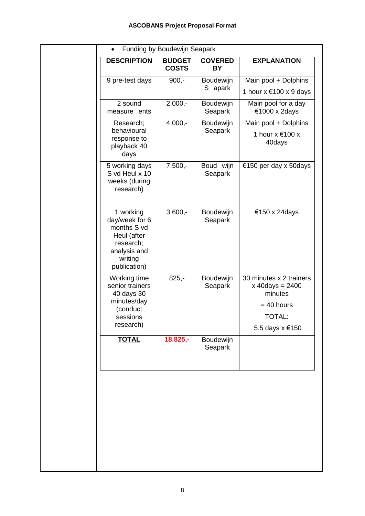|                                                                                                                   | <b>BUDGET</b><br><b>COSTS</b> | <b>COVERED</b><br><b>BY</b> | <b>EXPLANATION</b>                                                                                          |
|-------------------------------------------------------------------------------------------------------------------|-------------------------------|-----------------------------|-------------------------------------------------------------------------------------------------------------|
| 9 pre-test days                                                                                                   | $900,-$                       | Boudewijn<br>S apark        | Main pool + Dolphins<br>1 hour $x \in 100 \times 9$ days                                                    |
| 2 sound<br>measure ents                                                                                           | $2.000,-$                     | Boudewijn<br>Seapark        | Main pool for a day<br>€1000 x 2days                                                                        |
| Research;<br>behavioural<br>response to<br>playback 40<br>days                                                    | $4.000,-$                     | Boudewijn<br>Seapark        | Main pool + Dolphins<br>1 hour x €100 x<br>40days                                                           |
| 5 working days<br>S vd Heul x 10<br>weeks (during<br>research)                                                    | $7.500,-$                     | Boud wijn<br>Seapark        | €150 per day x 50days                                                                                       |
| 1 working<br>day/week for 6<br>months S vd<br>Heul (after<br>research;<br>analysis and<br>writing<br>publication) | $3.600,-$                     | Boudewijn<br>Seapark        | €150 x 24days                                                                                               |
| Working time<br>senior trainers<br>40 days 30<br>minutes/day<br>(conduct<br>sessions<br>research)                 | $825,-$                       | Boudewijn<br>Seapark        | 30 minutes x 2 trainers<br>$x \, 40 \, days = 2400$<br>minutes<br>$= 40$ hours<br>TOTAL:<br>5.5 days x €150 |
| <b>TOTAL</b>                                                                                                      | $18.825,-$                    | Boudewijn<br>Seapark        |                                                                                                             |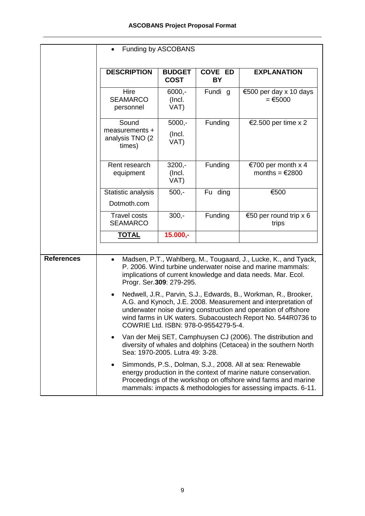|                   | Funding by ASCOBANS                                                                                                                                                                                                                                                                                                                                                                                                                   |                              |                      |                                                                                                                                                                                               |
|-------------------|---------------------------------------------------------------------------------------------------------------------------------------------------------------------------------------------------------------------------------------------------------------------------------------------------------------------------------------------------------------------------------------------------------------------------------------|------------------------------|----------------------|-----------------------------------------------------------------------------------------------------------------------------------------------------------------------------------------------|
|                   | <b>DESCRIPTION</b>                                                                                                                                                                                                                                                                                                                                                                                                                    | <b>BUDGET</b><br><b>COST</b> | <b>COVE ED</b><br>BY | <b>EXPLANATION</b>                                                                                                                                                                            |
|                   | Hire<br><b>SEAMARCO</b><br>personnel                                                                                                                                                                                                                                                                                                                                                                                                  | $6000,-$<br>(Incl.<br>VAT)   | Fundi g              | €500 per day x 10 days<br>$= 65000$                                                                                                                                                           |
|                   | Sound<br>measurements +<br>analysis TNO (2<br>times)                                                                                                                                                                                                                                                                                                                                                                                  | $5000,-$<br>(Incl.<br>VAT)   | Funding              | €2.500 per time x 2                                                                                                                                                                           |
|                   | Rent research<br>equipment                                                                                                                                                                                                                                                                                                                                                                                                            | $3200,-$<br>(Incl.<br>VAT)   | Funding              | €700 per month $x$ 4<br>months = $€2800$                                                                                                                                                      |
|                   | Statistic analysis<br>Dotmoth.com                                                                                                                                                                                                                                                                                                                                                                                                     | $500,-$                      | Fu ding              | €500                                                                                                                                                                                          |
|                   | <b>Travel costs</b><br><b>SEAMARCO</b>                                                                                                                                                                                                                                                                                                                                                                                                | $300 -$                      | Funding              | €50 per round trip $x$ 6<br>trips                                                                                                                                                             |
|                   | <b>TOTAL</b>                                                                                                                                                                                                                                                                                                                                                                                                                          | $15.000,-$                   |                      |                                                                                                                                                                                               |
| <b>References</b> |                                                                                                                                                                                                                                                                                                                                                                                                                                       | Progr. Ser.309: 279-295.     |                      | Madsen, P.T., Wahlberg, M., Tougaard, J., Lucke, K., and Tyack,<br>P. 2006. Wind turbine underwater noise and marine mammals:<br>implications of current knowledge and data needs. Mar. Ecol. |
|                   | Nedwell, J.R., Parvin, S.J., Edwards, B., Workman, R., Brooker,<br>$\bullet$<br>A.G. and Kynoch, J.E. 2008. Measurement and interpretation of<br>underwater noise during construction and operation of offshore<br>wind farms in UK waters. Subacoustech Report No. 544R0736 to<br>COWRIE Ltd. ISBN: 978-0-9554279-5-4.                                                                                                               |                              |                      |                                                                                                                                                                                               |
|                   | Van der Meij SET, Camphuysen CJ (2006). The distribution and<br>diversity of whales and dolphins (Cetacea) in the southern North<br>Sea: 1970-2005. Lutra 49: 3-28.<br>Simmonds, P.S., Dolman, S.J., 2008. All at sea: Renewable<br>energy production in the context of marine nature conservation.<br>Proceedings of the workshop on offshore wind farms and marine<br>mammals: impacts & methodologies for assessing impacts. 6-11. |                              |                      |                                                                                                                                                                                               |
|                   |                                                                                                                                                                                                                                                                                                                                                                                                                                       |                              |                      |                                                                                                                                                                                               |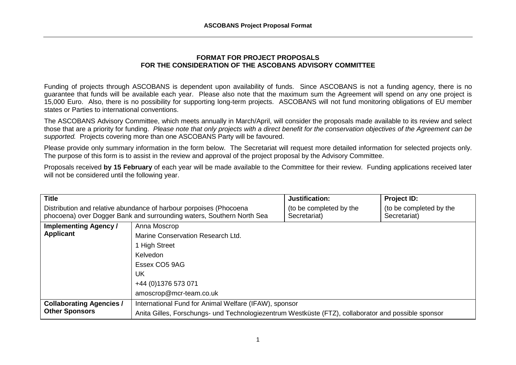## **FORMAT FOR PROJECT PROPOSALS FOR THE CONSIDERATION OF THE ASCOBANS ADVISORY COMMITTEE**

Funding of projects through ASCOBANS is dependent upon availability of funds. Since ASCOBANS is not a funding agency, there is no guarantee that funds will be available each year. Please also note that the maximum sum the Agreement will spend on any one project is 15,000 Euro. Also, there is no possibility for supporting long-term projects. ASCOBANS will not fund monitoring obligations of EU member states or Parties to international conventions.

The ASCOBANS Advisory Committee, which meets annually in March/April, will consider the proposals made available to its review and select those that are a priority for funding. Please note that only projects with a direct benefit for the conservation objectives of the Agreement can be supported. Projects covering more than one ASCOBANS Party will be favoured.

Please provide only summary information in the form below. The Secretariat will request more detailed information for selected projects only. The purpose of this form is to assist in the review and approval of the project proposal by the Advisory Committee.

Proposals received **by 15 February** of each year will be made available to the Committee for their review. Funding applications received later will not be considered until the following year.

| <b>Title</b>                                                                                                                                |                                                                                                                                                              | Justification:                          | Project ID:                             |
|---------------------------------------------------------------------------------------------------------------------------------------------|--------------------------------------------------------------------------------------------------------------------------------------------------------------|-----------------------------------------|-----------------------------------------|
| Distribution and relative abundance of harbour porpoises (Phocoena<br>phocoena) over Dogger Bank and surrounding waters, Southern North Sea |                                                                                                                                                              | (to be completed by the<br>Secretariat) | (to be completed by the<br>Secretariat) |
| <b>Implementing Agency /</b><br><b>Applicant</b>                                                                                            | Anna Moscrop<br>Marine Conservation Research Ltd.<br><b>High Street</b><br><b>Kelvedon</b><br>Essex CO5 9AG<br>UK<br>+44 (0) 1376 573 071                    |                                         |                                         |
|                                                                                                                                             | amoscrop@mcr-team.co.uk                                                                                                                                      |                                         |                                         |
| <b>Collaborating Agencies /</b><br><b>Other Sponsors</b>                                                                                    | International Fund for Animal Welfare (IFAW), sponsor<br>Anita Gilles, Forschungs- und Technologiezentrum Westküste (FTZ), collaborator and possible sponsor |                                         |                                         |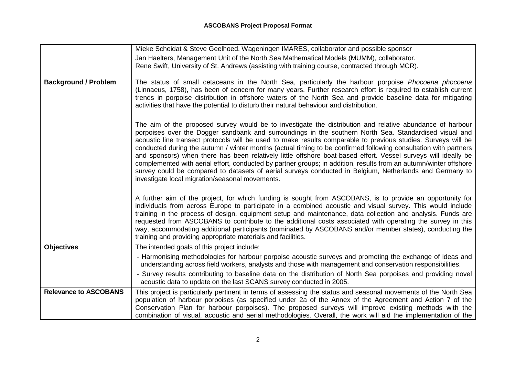|                              | Mieke Scheidat & Steve Geelhoed, Wageningen IMARES, collaborator and possible sponsor<br>Jan Haelters, Management Unit of the North Sea Mathematical Models (MUMM), collaborator.<br>Rene Swift, University of St. Andrews (assisting with training course, contracted through MCR).                                                                                                                                                                                                                                                                                                                                                                                                                                                                                                                                                                         |
|------------------------------|--------------------------------------------------------------------------------------------------------------------------------------------------------------------------------------------------------------------------------------------------------------------------------------------------------------------------------------------------------------------------------------------------------------------------------------------------------------------------------------------------------------------------------------------------------------------------------------------------------------------------------------------------------------------------------------------------------------------------------------------------------------------------------------------------------------------------------------------------------------|
| <b>Background / Problem</b>  | The status of small cetaceans in the North Sea, particularly the harbour porpoise Phocoena phocoena<br>(Linnaeus, 1758), has been of concern for many years. Further research effort is required to establish current<br>trends in porpoise distribution in offshore waters of the North Sea and provide baseline data for mitigating<br>activities that have the potential to disturb their natural behaviour and distribution.                                                                                                                                                                                                                                                                                                                                                                                                                             |
|                              | The aim of the proposed survey would be to investigate the distribution and relative abundance of harbour<br>porpoises over the Dogger sandbank and surroundings in the southern North Sea. Standardised visual and<br>acoustic line transect protocols will be used to make results comparable to previous studies. Surveys will be<br>conducted during the autumn / winter months (actual timing to be confirmed following consultation with partners<br>and sponsors) when there has been relatively little offshore boat-based effort. Vessel surveys will ideally be<br>complemented with aerial effort, conducted by partner groups; in addition, results from an autumn/winter offshore<br>survey could be compared to datasets of aerial surveys conducted in Belgium, Netherlands and Germany to<br>investigate local migration/seasonal movements. |
|                              | A further aim of the project, for which funding is sought from ASCOBANS, is to provide an opportunity for<br>individuals from across Europe to participate in a combined acoustic and visual survey. This would include<br>training in the process of design, equipment setup and maintenance, data collection and analysis. Funds are<br>requested from ASCOBANS to contribute to the additional costs associated with operating the survey in this<br>way, accommodating additional participants (nominated by ASCOBANS and/or member states), conducting the<br>training and providing appropriate materials and facilities.                                                                                                                                                                                                                              |
| <b>Objectives</b>            | The intended goals of this project include:                                                                                                                                                                                                                                                                                                                                                                                                                                                                                                                                                                                                                                                                                                                                                                                                                  |
|                              | - Harmonising methodologies for harbour porpoise acoustic surveys and promoting the exchange of ideas and<br>understanding across field workers, analysts and those with management and conservation responsibilities.                                                                                                                                                                                                                                                                                                                                                                                                                                                                                                                                                                                                                                       |
|                              | - Survey results contributing to baseline data on the distribution of North Sea porpoises and providing novel<br>acoustic data to update on the last SCANS survey conducted in 2005.                                                                                                                                                                                                                                                                                                                                                                                                                                                                                                                                                                                                                                                                         |
| <b>Relevance to ASCOBANS</b> | This project is particularly pertinent in terms of assessing the status and seasonal movements of the North Sea<br>population of harbour porpoises (as specified under 2a of the Annex of the Agreement and Action 7 of the<br>Conservation Plan for harbour porpoises). The proposed surveys will improve existing methods with the<br>combination of visual, acoustic and aerial methodologies. Overall, the work will aid the implementation of the                                                                                                                                                                                                                                                                                                                                                                                                       |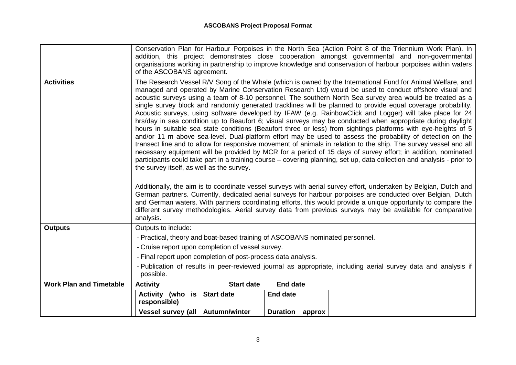|                                | of the ASCOBANS agreement.                                                                                                                                                                                                                                                                                                                                                                                                                                                                                                                                     |                   |                 | Conservation Plan for Harbour Porpoises in the North Sea (Action Point 8 of the Triennium Work Plan). In<br>addition, this project demonstrates close cooperation amongst governmental and non-governmental<br>organisations working in partnership to improve knowledge and conservation of harbour porpoises within waters                                                                                                                                                                                                                                                                                                                                                                               |
|--------------------------------|----------------------------------------------------------------------------------------------------------------------------------------------------------------------------------------------------------------------------------------------------------------------------------------------------------------------------------------------------------------------------------------------------------------------------------------------------------------------------------------------------------------------------------------------------------------|-------------------|-----------------|------------------------------------------------------------------------------------------------------------------------------------------------------------------------------------------------------------------------------------------------------------------------------------------------------------------------------------------------------------------------------------------------------------------------------------------------------------------------------------------------------------------------------------------------------------------------------------------------------------------------------------------------------------------------------------------------------------|
| <b>Activities</b>              | The Research Vessel R/V Song of the Whale (which is owned by the International Fund for Animal Welfare, and<br>managed and operated by Marine Conservation Research Ltd) would be used to conduct offshore visual and<br>acoustic surveys using a team of 8-10 personnel. The southern North Sea survey area would be treated as a<br>single survey block and randomly generated tracklines will be planned to provide equal coverage probability.<br>Acoustic surveys, using software developed by IFAW (e.g. RainbowClick and Logger) will take place for 24 |                   |                 |                                                                                                                                                                                                                                                                                                                                                                                                                                                                                                                                                                                                                                                                                                            |
|                                | the survey itself, as well as the survey.                                                                                                                                                                                                                                                                                                                                                                                                                                                                                                                      |                   |                 | hrs/day in sea condition up to Beaufort 6; visual surveys may be conducted when appropriate during daylight<br>hours in suitable sea state conditions (Beaufort three or less) from sightings platforms with eye-heights of 5<br>and/or 11 m above sea-level. Dual-platform effort may be used to assess the probability of detection on the<br>transect line and to allow for responsive movement of animals in relation to the ship. The survey vessel and all<br>necessary equipment will be provided by MCR for a period of 15 days of survey effort; in addition, nominated<br>participants could take part in a training course – covering planning, set up, data collection and analysis - prior to |
|                                | analysis.                                                                                                                                                                                                                                                                                                                                                                                                                                                                                                                                                      |                   |                 | Additionally, the aim is to coordinate vessel surveys with aerial survey effort, undertaken by Belgian, Dutch and<br>German partners. Currently, dedicated aerial surveys for harbour porpoises are conducted over Belgian, Dutch<br>and German waters. With partners coordinating efforts, this would provide a unique opportunity to compare the<br>different survey methodologies. Aerial survey data from previous surveys may be available for comparative                                                                                                                                                                                                                                            |
| <b>Outputs</b>                 | Outputs to include:                                                                                                                                                                                                                                                                                                                                                                                                                                                                                                                                            |                   |                 |                                                                                                                                                                                                                                                                                                                                                                                                                                                                                                                                                                                                                                                                                                            |
|                                | - Practical, theory and boat-based training of ASCOBANS nominated personnel.                                                                                                                                                                                                                                                                                                                                                                                                                                                                                   |                   |                 |                                                                                                                                                                                                                                                                                                                                                                                                                                                                                                                                                                                                                                                                                                            |
|                                | - Cruise report upon completion of vessel survey.                                                                                                                                                                                                                                                                                                                                                                                                                                                                                                              |                   |                 |                                                                                                                                                                                                                                                                                                                                                                                                                                                                                                                                                                                                                                                                                                            |
|                                | - Final report upon completion of post-process data analysis.                                                                                                                                                                                                                                                                                                                                                                                                                                                                                                  |                   |                 |                                                                                                                                                                                                                                                                                                                                                                                                                                                                                                                                                                                                                                                                                                            |
|                                | - Publication of results in peer-reviewed journal as appropriate, including aerial survey data and analysis if<br>possible.                                                                                                                                                                                                                                                                                                                                                                                                                                    |                   |                 |                                                                                                                                                                                                                                                                                                                                                                                                                                                                                                                                                                                                                                                                                                            |
| <b>Work Plan and Timetable</b> | <b>Activity</b>                                                                                                                                                                                                                                                                                                                                                                                                                                                                                                                                                | <b>Start date</b> | <b>End date</b> |                                                                                                                                                                                                                                                                                                                                                                                                                                                                                                                                                                                                                                                                                                            |
|                                | Activity (who is<br>responsible)                                                                                                                                                                                                                                                                                                                                                                                                                                                                                                                               | <b>Start date</b> | <b>End date</b> |                                                                                                                                                                                                                                                                                                                                                                                                                                                                                                                                                                                                                                                                                                            |
|                                | Vessel survey (all   Autumn/winter                                                                                                                                                                                                                                                                                                                                                                                                                                                                                                                             |                   | Duration approx |                                                                                                                                                                                                                                                                                                                                                                                                                                                                                                                                                                                                                                                                                                            |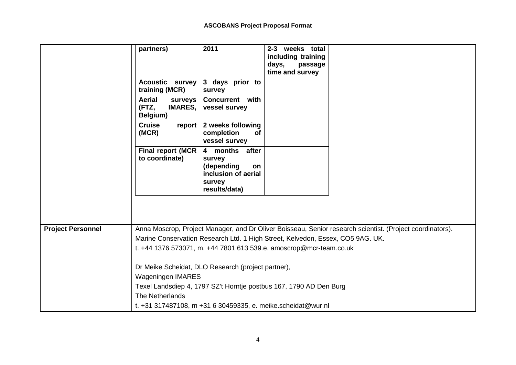|                          | partners)                                                                      | 2011                                                                                           | 2-3 weeks total<br>including training<br>days,<br>passage<br>time and survey |                                                                                                           |
|--------------------------|--------------------------------------------------------------------------------|------------------------------------------------------------------------------------------------|------------------------------------------------------------------------------|-----------------------------------------------------------------------------------------------------------|
|                          | <b>Acoustic</b> survey<br>training (MCR)                                       | 3 days prior to<br>survey                                                                      |                                                                              |                                                                                                           |
|                          | <b>Aerial</b><br>surveys<br>(FTZ,<br><b>IMARES,</b><br>Belgium)                | <b>Concurrent</b> with<br>vessel survey                                                        |                                                                              |                                                                                                           |
|                          | <b>Cruise</b><br>report<br>(MCR)                                               | 2 weeks following<br>completion<br><b>of</b><br>vessel survey                                  |                                                                              |                                                                                                           |
|                          | <b>Final report (MCR</b><br>to coordinate)                                     | 4 months after<br>survey<br>(depending<br>on<br>inclusion of aerial<br>survey<br>results/data) |                                                                              |                                                                                                           |
|                          |                                                                                |                                                                                                |                                                                              |                                                                                                           |
| <b>Project Personnel</b> |                                                                                |                                                                                                |                                                                              | Anna Moscrop, Project Manager, and Dr Oliver Boisseau, Senior research scientist. (Project coordinators). |
|                          | Marine Conservation Research Ltd. 1 High Street, Kelvedon, Essex, CO5 9AG. UK. |                                                                                                |                                                                              |                                                                                                           |
|                          | t. +44 1376 573071, m. +44 7801 613 539.e. amoscrop@mcr-team.co.uk             |                                                                                                |                                                                              |                                                                                                           |
|                          | Dr Meike Scheidat, DLO Research (project partner),                             |                                                                                                |                                                                              |                                                                                                           |
|                          | <b>Wageningen IMARES</b>                                                       |                                                                                                |                                                                              |                                                                                                           |
|                          | Texel Landsdiep 4, 1797 SZ't Horntje postbus 167, 1790 AD Den Burg             |                                                                                                |                                                                              |                                                                                                           |
|                          | The Netherlands                                                                |                                                                                                |                                                                              |                                                                                                           |
|                          | t. +31 317487108, m +31 6 30459335, e. meike.scheidat@wur.nl                   |                                                                                                |                                                                              |                                                                                                           |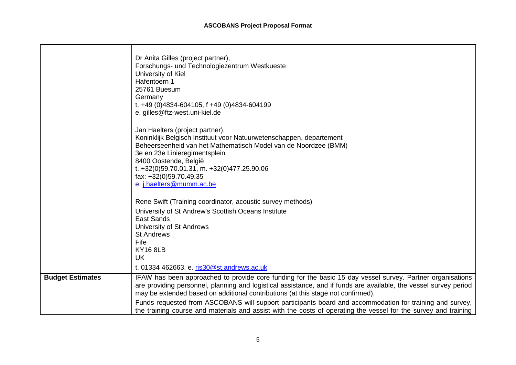|                         | Dr Anita Gilles (project partner),<br>Forschungs- und Technologiezentrum Westkueste<br>University of Kiel<br>Hafentoern 1<br>25761 Buesum<br>Germany<br>t. +49 (0)4834-604105, f +49 (0)4834-604199<br>e. gilles@ftz-west.uni-kiel.de<br>Jan Haelters (project partner),                                                                                                                                                                                                                                                                                                                         |
|-------------------------|--------------------------------------------------------------------------------------------------------------------------------------------------------------------------------------------------------------------------------------------------------------------------------------------------------------------------------------------------------------------------------------------------------------------------------------------------------------------------------------------------------------------------------------------------------------------------------------------------|
|                         | Koninklijk Belgisch Instituut voor Natuurwetenschappen, departement<br>Beheerseenheid van het Mathematisch Model van de Noordzee (BMM)<br>3e en 23e Linieregimentsplein<br>8400 Oostende, België<br>t. +32(0)59.70.01.31, m. +32(0)477.25.90.06<br>fax: +32(0)59.70.49.35<br>e: j.haelters@mumm.ac.be                                                                                                                                                                                                                                                                                            |
|                         | Rene Swift (Training coordinator, acoustic survey methods)<br>University of St Andrew's Scottish Oceans Institute<br><b>East Sands</b><br>University of St Andrews<br><b>St Andrews</b><br>Fife<br><b>KY16 8LB</b><br>UK                                                                                                                                                                                                                                                                                                                                                                         |
| <b>Budget Estimates</b> | t. 01334 462663. e. rjs30@st.andrews.ac.uk<br>IFAW has been approached to provide core funding for the basic 15 day vessel survey. Partner organisations<br>are providing personnel, planning and logistical assistance, and if funds are available, the vessel survey period<br>may be extended based on additional contributions (at this stage not confirmed).<br>Funds requested from ASCOBANS will support participants board and accommodation for training and survey,<br>the training course and materials and assist with the costs of operating the vessel for the survey and training |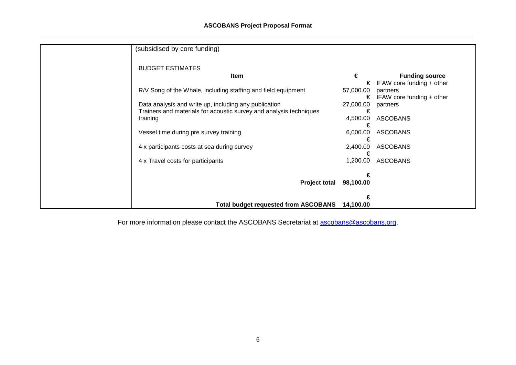| (subsidised by core funding)                                       |               |                           |
|--------------------------------------------------------------------|---------------|---------------------------|
| <b>BUDGET ESTIMATES</b>                                            |               |                           |
| Item                                                               | €             | <b>Funding source</b>     |
|                                                                    | €             | IFAW core funding + other |
| R/V Song of the Whale, including staffing and field equipment      | 57,000.00     | partners                  |
|                                                                    | €             | IFAW core funding + other |
| Data analysis and write up, including any publication              | 27,000.00     | partners                  |
| Trainers and materials for acoustic survey and analysis techniques | €             |                           |
| training                                                           | 4,500.00      | <b>ASCOBANS</b>           |
| Vessel time during pre survey training                             | €<br>6,000.00 | <b>ASCOBANS</b>           |
|                                                                    |               |                           |
| 4 x participants costs at sea during survey                        | 2,400.00      | <b>ASCOBANS</b>           |
|                                                                    |               |                           |
| 4 x Travel costs for participants                                  | 1,200.00      | <b>ASCOBANS</b>           |
|                                                                    |               |                           |
|                                                                    |               |                           |
| <b>Project total</b>                                               | 98,100.00     |                           |
|                                                                    |               |                           |
|                                                                    |               |                           |
| <b>Total budget requested from ASCOBANS</b>                        | 14,100.00     |                           |

For more information please contact the ASCOBANS Secretariat at **ascobans@ascobans.org**.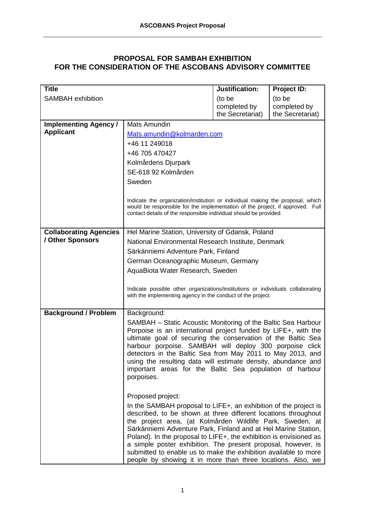# **PROPOSAL FOR SAMBAH EXHIBITION FOR THE CONSIDERATION OF THE ASCOBANS ADVISORY COMMITTEE**

| <b>Title</b>                  |                                                                                                                                                                                                                                      | Justification:                   | Project ID:                      |  |  |
|-------------------------------|--------------------------------------------------------------------------------------------------------------------------------------------------------------------------------------------------------------------------------------|----------------------------------|----------------------------------|--|--|
| <b>SAMBAH</b> exhibition      |                                                                                                                                                                                                                                      | (to be                           | (to be                           |  |  |
|                               |                                                                                                                                                                                                                                      | completed by<br>the Secretariat) | completed by<br>the Secretariat) |  |  |
| <b>Implementing Agency /</b>  | Mats Amundin                                                                                                                                                                                                                         |                                  |                                  |  |  |
| <b>Applicant</b>              |                                                                                                                                                                                                                                      |                                  |                                  |  |  |
|                               | Mats.amundin@kolmarden.com<br>+46 11 249018                                                                                                                                                                                          |                                  |                                  |  |  |
|                               | +46 705 470427                                                                                                                                                                                                                       |                                  |                                  |  |  |
|                               | Kolmårdens Djurpark                                                                                                                                                                                                                  |                                  |                                  |  |  |
|                               | SE-618 92 Kolmården                                                                                                                                                                                                                  |                                  |                                  |  |  |
|                               | Sweden                                                                                                                                                                                                                               |                                  |                                  |  |  |
|                               |                                                                                                                                                                                                                                      |                                  |                                  |  |  |
|                               | Indicate the organization/institution or individual making the proposal, which<br>would be responsible for the implementation of the project, if approved. Full<br>contact details of the responsible individual should be provided. |                                  |                                  |  |  |
| <b>Collaborating Agencies</b> | Hel Marine Station, University of Gdansk, Poland                                                                                                                                                                                     |                                  |                                  |  |  |
| / Other Sponsors              | National Environmental Research Institute, Denmark                                                                                                                                                                                   |                                  |                                  |  |  |
|                               | Särkänniemi Adventure Park, Finland                                                                                                                                                                                                  |                                  |                                  |  |  |
|                               | German Oceanographic Museum, Germany                                                                                                                                                                                                 |                                  |                                  |  |  |
|                               | AquaBiota Water Research, Sweden                                                                                                                                                                                                     |                                  |                                  |  |  |
|                               |                                                                                                                                                                                                                                      |                                  |                                  |  |  |
|                               | Indicate possible other organizations/institutions or individuals collaborating<br>with the implementing agency in the conduct of the project.                                                                                       |                                  |                                  |  |  |
|                               |                                                                                                                                                                                                                                      |                                  |                                  |  |  |
| <b>Background / Problem</b>   | Background:                                                                                                                                                                                                                          |                                  |                                  |  |  |
|                               | SAMBAH – Static Acoustic Monitoring of the Baltic Sea Harbour                                                                                                                                                                        |                                  |                                  |  |  |
|                               | Porpoise is an international project funded by LIFE+, with the                                                                                                                                                                       |                                  |                                  |  |  |
|                               | ultimate goal of securing the conservation of the Baltic Sea<br>harbour porpoise. SAMBAH will deploy 300 porpoise click                                                                                                              |                                  |                                  |  |  |
|                               | detectors in the Baltic Sea from May 2011 to May 2013, and                                                                                                                                                                           |                                  |                                  |  |  |
|                               | using the resulting data will estimate density, abundance and                                                                                                                                                                        |                                  |                                  |  |  |
|                               | important areas for the Baltic Sea population of harbour                                                                                                                                                                             |                                  |                                  |  |  |
|                               | porpoises.                                                                                                                                                                                                                           |                                  |                                  |  |  |
|                               |                                                                                                                                                                                                                                      |                                  |                                  |  |  |
|                               | Proposed project:                                                                                                                                                                                                                    |                                  |                                  |  |  |
|                               | In the SAMBAH proposal to LIFE+, an exhibition of the project is<br>described, to be shown at three different locations throughout                                                                                                   |                                  |                                  |  |  |
|                               | the project area, (at Kolmården Wildlife Park, Sweden, at                                                                                                                                                                            |                                  |                                  |  |  |
|                               | Särkänniemi Adventure Park, Finland and at Hel Marine Station,                                                                                                                                                                       |                                  |                                  |  |  |
|                               | Poland). In the proposal to LIFE+, the exhibition is envisioned as<br>a simple poster exhibition. The present proposal, however, is                                                                                                  |                                  |                                  |  |  |
|                               | submitted to enable us to make the exhibition available to more                                                                                                                                                                      |                                  |                                  |  |  |
|                               | people by showing it in more than three locations. Also, we                                                                                                                                                                          |                                  |                                  |  |  |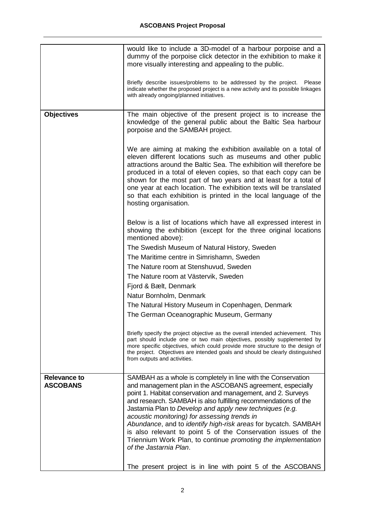|                                        | would like to include a 3D-model of a harbour porpoise and a<br>dummy of the porpoise click detector in the exhibition to make it<br>more visually interesting and appealing to the public.                                                                                                                                                                                                                                                                                                                  |
|----------------------------------------|--------------------------------------------------------------------------------------------------------------------------------------------------------------------------------------------------------------------------------------------------------------------------------------------------------------------------------------------------------------------------------------------------------------------------------------------------------------------------------------------------------------|
|                                        | Briefly describe issues/problems to be addressed by the project.<br>Please<br>indicate whether the proposed project is a new activity and its possible linkages<br>with already ongoing/planned initiatives.                                                                                                                                                                                                                                                                                                 |
| <b>Objectives</b>                      | The main objective of the present project is to increase the<br>knowledge of the general public about the Baltic Sea harbour<br>porpoise and the SAMBAH project.                                                                                                                                                                                                                                                                                                                                             |
|                                        | We are aiming at making the exhibition available on a total of<br>eleven different locations such as museums and other public<br>attractions around the Baltic Sea. The exhibition will therefore be<br>produced in a total of eleven copies, so that each copy can be<br>shown for the most part of two years and at least for a total of<br>one year at each location. The exhibition texts will be translated<br>so that each exhibition is printed in the local language of the<br>hosting organisation. |
|                                        | Below is a list of locations which have all expressed interest in<br>showing the exhibition (except for the three original locations<br>mentioned above):                                                                                                                                                                                                                                                                                                                                                    |
|                                        | The Swedish Museum of Natural History, Sweden                                                                                                                                                                                                                                                                                                                                                                                                                                                                |
|                                        | The Maritime centre in Simrishamn, Sweden                                                                                                                                                                                                                                                                                                                                                                                                                                                                    |
|                                        | The Nature room at Stenshuvud, Sweden                                                                                                                                                                                                                                                                                                                                                                                                                                                                        |
|                                        | The Nature room at Västervik, Sweden                                                                                                                                                                                                                                                                                                                                                                                                                                                                         |
|                                        | Fjord & Bælt, Denmark                                                                                                                                                                                                                                                                                                                                                                                                                                                                                        |
|                                        | Natur Bornholm, Denmark                                                                                                                                                                                                                                                                                                                                                                                                                                                                                      |
|                                        | The Natural History Museum in Copenhagen, Denmark                                                                                                                                                                                                                                                                                                                                                                                                                                                            |
|                                        | The German Oceanographic Museum, Germany                                                                                                                                                                                                                                                                                                                                                                                                                                                                     |
|                                        | Briefly specify the project objective as the overall intended achievement. This<br>part should include one or two main objectives, possibly supplemented by<br>more specific objectives, which could provide more structure to the design of<br>the project. Objectives are intended goals and should be clearly distinguished<br>from outputs and activities.                                                                                                                                               |
| <b>Relevance to</b><br><b>ASCOBANS</b> | SAMBAH as a whole is completely in line with the Conservation<br>and management plan in the ASCOBANS agreement, especially                                                                                                                                                                                                                                                                                                                                                                                   |
|                                        | point 1. Habitat conservation and management, and 2. Surveys<br>and research. SAMBAH is also fulfilling recommendations of the<br>Jastarnia Plan to Develop and apply new techniques (e.g.<br>acoustic monitoring) for assessing trends in<br>Abundance, and to identify high-risk areas for bycatch. SAMBAH<br>is also relevant to point 5 of the Conservation issues of the<br>Triennium Work Plan, to continue promoting the implementation<br>of the Jastarnia Plan.                                     |
|                                        | The present project is in line with point 5 of the ASCOBANS                                                                                                                                                                                                                                                                                                                                                                                                                                                  |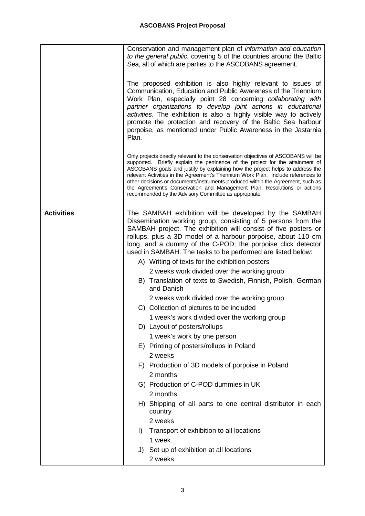|                   | Conservation and management plan of <i>information and education</i><br>to the general public, covering 5 of the countries around the Baltic<br>Sea, all of which are parties to the ASCOBANS agreement.<br>The proposed exhibition is also highly relevant to issues of<br>Communication, Education and Public Awareness of the Triennium<br>Work Plan, especially point 28 concerning collaborating with<br>partner organizations to develop joint actions in educational<br>activities. The exhibition is also a highly visible way to actively<br>promote the protection and recovery of the Baltic Sea harbour<br>porpoise, as mentioned under Public Awareness in the Jastarnia<br>Plan.<br>Only projects directly relevant to the conservation objectives of ASCOBANS will be<br>supported. Briefly explain the pertinence of the project for the attainment of<br>ASCOBANS goals and justify by explaining how the project helps to address the<br>relevant Activities in the Agreement's Triennium Work Plan. Include references to<br>other decisions or documents/instruments produced within the Agreement, such as<br>the Agreement's Conservation and Management Plan, Resolutions or actions<br>recommended by the Advisory Committee as appropriate. |
|-------------------|----------------------------------------------------------------------------------------------------------------------------------------------------------------------------------------------------------------------------------------------------------------------------------------------------------------------------------------------------------------------------------------------------------------------------------------------------------------------------------------------------------------------------------------------------------------------------------------------------------------------------------------------------------------------------------------------------------------------------------------------------------------------------------------------------------------------------------------------------------------------------------------------------------------------------------------------------------------------------------------------------------------------------------------------------------------------------------------------------------------------------------------------------------------------------------------------------------------------------------------------------------------------|
| <b>Activities</b> | The SAMBAH exhibition will be developed by the SAMBAH                                                                                                                                                                                                                                                                                                                                                                                                                                                                                                                                                                                                                                                                                                                                                                                                                                                                                                                                                                                                                                                                                                                                                                                                                |
|                   | Dissemination working group, consisting of 5 persons from the<br>SAMBAH project. The exhibition will consist of five posters or<br>rollups, plus a 3D model of a harbour porpoise, about 110 cm<br>long, and a dummy of the C-POD; the porpoise click detector<br>used in SAMBAH. The tasks to be performed are listed below:<br>A) Writing of texts for the exhibition posters<br>2 weeks work divided over the working group<br>B) Translation of texts to Swedish, Finnish, Polish, German<br>and Danish<br>2 weeks work divided over the working group<br>C) Collection of pictures to be included<br>1 week's work divided over the working group<br>D) Layout of posters/rollups<br>1 week's work by one person<br>E) Printing of posters/rollups in Poland<br>2 weeks<br>F) Production of 3D models of porpoise in Poland<br>2 months<br>G) Production of C-POD dummies in UK<br>2 months<br>H) Shipping of all parts to one central distributor in each<br>country<br>2 weeks<br>Transport of exhibition to all locations<br>$\vert$<br>1 week<br>J) Set up of exhibition at all locations<br>2 weeks                                                                                                                                                        |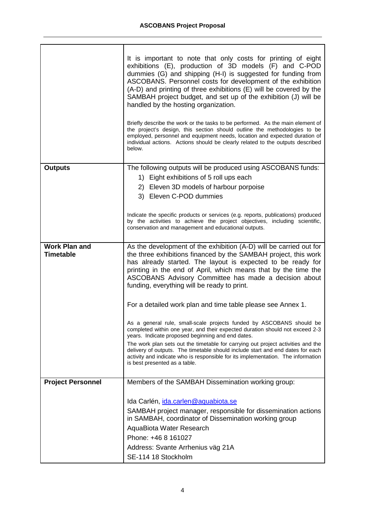|                                          | It is important to note that only costs for printing of eight<br>exhibitions (E), production of 3D models (F) and C-POD<br>dummies (G) and shipping (H-I) is suggested for funding from<br>ASCOBANS. Personnel costs for development of the exhibition<br>(A-D) and printing of three exhibitions (E) will be covered by the<br>SAMBAH project budget, and set up of the exhibition (J) will be<br>handled by the hosting organization.<br>Briefly describe the work or the tasks to be performed. As the main element of<br>the project's design, this section should outline the methodologies to be<br>employed, personnel and equipment needs, location and expected duration of<br>individual actions. Actions should be clearly related to the outputs described<br>below. |
|------------------------------------------|----------------------------------------------------------------------------------------------------------------------------------------------------------------------------------------------------------------------------------------------------------------------------------------------------------------------------------------------------------------------------------------------------------------------------------------------------------------------------------------------------------------------------------------------------------------------------------------------------------------------------------------------------------------------------------------------------------------------------------------------------------------------------------|
| <b>Outputs</b>                           | The following outputs will be produced using ASCOBANS funds:                                                                                                                                                                                                                                                                                                                                                                                                                                                                                                                                                                                                                                                                                                                     |
|                                          | 1) Eight exhibitions of 5 roll ups each                                                                                                                                                                                                                                                                                                                                                                                                                                                                                                                                                                                                                                                                                                                                          |
|                                          | 2) Eleven 3D models of harbour porpoise                                                                                                                                                                                                                                                                                                                                                                                                                                                                                                                                                                                                                                                                                                                                          |
|                                          | 3) Eleven C-POD dummies                                                                                                                                                                                                                                                                                                                                                                                                                                                                                                                                                                                                                                                                                                                                                          |
|                                          | Indicate the specific products or services (e.g. reports, publications) produced<br>by the activities to achieve the project objectives, including scientific,<br>conservation and management and educational outputs.                                                                                                                                                                                                                                                                                                                                                                                                                                                                                                                                                           |
| <b>Work Plan and</b><br><b>Timetable</b> | As the development of the exhibition (A-D) will be carried out for<br>the three exhibitions financed by the SAMBAH project, this work<br>has already started. The layout is expected to be ready for<br>printing in the end of April, which means that by the time the<br>ASCOBANS Advisory Committee has made a decision about<br>funding, everything will be ready to print.                                                                                                                                                                                                                                                                                                                                                                                                   |
|                                          | For a detailed work plan and time table please see Annex 1.                                                                                                                                                                                                                                                                                                                                                                                                                                                                                                                                                                                                                                                                                                                      |
|                                          | As a general rule, small-scale projects funded by ASCOBANS should be<br>completed within one year, and their expected duration should not exceed 2-3<br>years. Indicate proposed beginning and end dates.                                                                                                                                                                                                                                                                                                                                                                                                                                                                                                                                                                        |
|                                          | The work plan sets out the timetable for carrying out project activities and the<br>delivery of outputs. The timetable should include start and end dates for each<br>activity and indicate who is responsible for its implementation. The information<br>is best presented as a table.                                                                                                                                                                                                                                                                                                                                                                                                                                                                                          |
| <b>Project Personnel</b>                 | Members of the SAMBAH Dissemination working group:                                                                                                                                                                                                                                                                                                                                                                                                                                                                                                                                                                                                                                                                                                                               |
|                                          |                                                                                                                                                                                                                                                                                                                                                                                                                                                                                                                                                                                                                                                                                                                                                                                  |
|                                          | Ida Carlén, ida.carlen@aquabiota.se                                                                                                                                                                                                                                                                                                                                                                                                                                                                                                                                                                                                                                                                                                                                              |
|                                          | SAMBAH project manager, responsible for dissemination actions<br>in SAMBAH, coordinator of Dissemination working group                                                                                                                                                                                                                                                                                                                                                                                                                                                                                                                                                                                                                                                           |
|                                          | AquaBiota Water Research                                                                                                                                                                                                                                                                                                                                                                                                                                                                                                                                                                                                                                                                                                                                                         |
|                                          | Phone: +46 8 161027                                                                                                                                                                                                                                                                                                                                                                                                                                                                                                                                                                                                                                                                                                                                                              |
|                                          | Address: Svante Arrhenius väg 21A                                                                                                                                                                                                                                                                                                                                                                                                                                                                                                                                                                                                                                                                                                                                                |
|                                          | SE-114 18 Stockholm                                                                                                                                                                                                                                                                                                                                                                                                                                                                                                                                                                                                                                                                                                                                                              |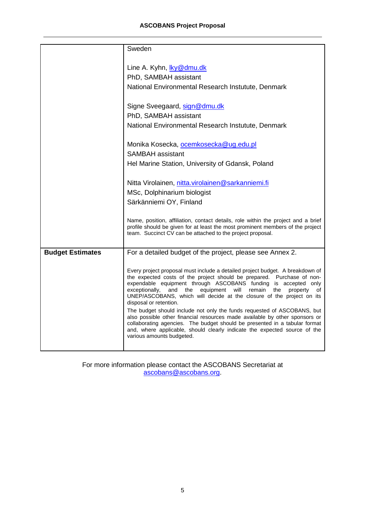## **ASCOBANS Project Proposal**

|                         | Sweden                                                                                                                                                              |
|-------------------------|---------------------------------------------------------------------------------------------------------------------------------------------------------------------|
|                         |                                                                                                                                                                     |
|                         | Line A. Kyhn, ky@dmu.dk                                                                                                                                             |
|                         | PhD, SAMBAH assistant                                                                                                                                               |
|                         | National Environmental Research Instutute, Denmark                                                                                                                  |
|                         | Signe Sveegaard, sign@dmu.dk                                                                                                                                        |
|                         | PhD, SAMBAH assistant                                                                                                                                               |
|                         | National Environmental Research Instutute, Denmark                                                                                                                  |
|                         | Monika Kosecka, ocemkosecka@ug.edu.pl                                                                                                                               |
|                         | <b>SAMBAH</b> assistant                                                                                                                                             |
|                         | Hel Marine Station, University of Gdansk, Poland                                                                                                                    |
|                         | Nitta Virolainen, nitta.virolainen@sarkanniemi.fi                                                                                                                   |
|                         | MSc, Dolphinarium biologist                                                                                                                                         |
|                         | Särkänniemi OY, Finland                                                                                                                                             |
|                         |                                                                                                                                                                     |
|                         | Name, position, affiliation, contact details, role within the project and a brief<br>profile should be given for at least the most prominent members of the project |
|                         | team. Succinct CV can be attached to the project proposal.                                                                                                          |
| <b>Budget Estimates</b> | For a detailed budget of the project, please see Annex 2.                                                                                                           |
|                         |                                                                                                                                                                     |
|                         | Every project proposal must include a detailed project budget. A breakdown of                                                                                       |
|                         | the expected costs of the project should be prepared. Purchase of non-<br>expendable equipment through ASCOBANS funding is accepted only                            |
|                         | exceptionally,<br>and<br>the<br>equipment<br>will<br>remain<br>the<br>property<br>οf                                                                                |
|                         | UNEP/ASCOBANS, which will decide at the closure of the project on its<br>disposal or retention.                                                                     |
|                         | The budget should include not only the funds requested of ASCOBANS, but                                                                                             |
|                         | also possible other financial resources made available by other sponsors or<br>collaborating agencies. The budget should be presented in a tabular format           |
|                         | and, where applicable, should clearly indicate the expected source of the                                                                                           |
|                         | various amounts budgeted.                                                                                                                                           |
|                         |                                                                                                                                                                     |

For more information please contact the ASCOBANS Secretariat at ascobans@ascobans.org.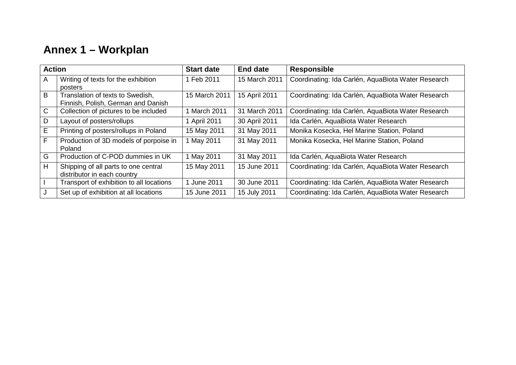# **Annex 1 – Workplan**

| <b>Action</b> |                                          | <b>Start date</b> | End date      | <b>Responsible</b>                                 |  |
|---------------|------------------------------------------|-------------------|---------------|----------------------------------------------------|--|
| A             | Writing of texts for the exhibition      | 1 Feb 2011        | 15 March 2011 | Coordinating: Ida Carlén, AquaBiota Water Research |  |
|               | posters                                  |                   |               |                                                    |  |
| B             | Translation of texts to Swedish,         | 15 March 2011     | 15 April 2011 | Coordinating: Ida Carlén, AquaBiota Water Research |  |
|               | Finnish, Polish, German and Danish       |                   |               |                                                    |  |
| $\mathsf{C}$  | Collection of pictures to be included    | March 2011        | 31 March 2011 | Coordinating: Ida Carlén, AquaBiota Water Research |  |
| D             | Layout of posters/rollups                | 1 April 2011      | 30 April 2011 | Ida Carlén, AquaBiota Water Research               |  |
| E             | Printing of posters/rollups in Poland    | 15 May 2011       | 31 May 2011   | Monika Kosecka, Hel Marine Station, Poland         |  |
| F             | Production of 3D models of porpoise in   | May 2011          | 31 May 2011   | Monika Kosecka, Hel Marine Station, Poland         |  |
|               | Poland                                   |                   |               |                                                    |  |
| G             | Production of C-POD dummies in UK        | May 2011          | 31 May 2011   | Ida Carlén, AquaBiota Water Research               |  |
| H             | Shipping of all parts to one central     | 15 May 2011       | 15 June 2011  | Coordinating: Ida Carlén, AquaBiota Water Research |  |
|               | distributor in each country              |                   |               |                                                    |  |
|               | Transport of exhibition to all locations | June 2011         | 30 June 2011  | Coordinating: Ida Carlén, AquaBiota Water Research |  |
|               | Set up of exhibition at all locations    | 15 June 2011      | 15 July 2011  | Coordinating: Ida Carlén, AquaBiota Water Research |  |